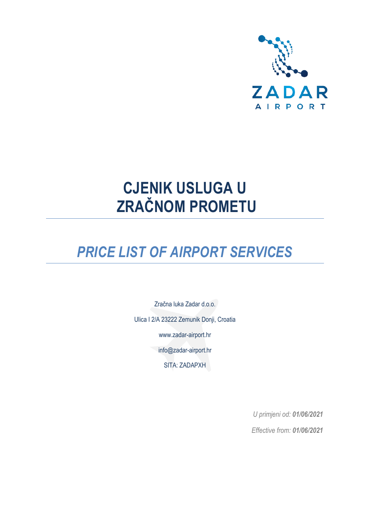

# **CJENIK USLUGA U ZRAČNOM PROMETU**

# *PRICE LIST OF AIRPORT SERVICES*

Zračna luka Zadar d.o.o. Ulica I 2/A 23222 Zemunik Donji, Croatia [www.zadar-airport.hr](http://www.zadar-airport.hr/) [info@zadar-airport.hr](mailto:info@zadar-airport.hr) SITA: ZADAPXH

> *U primjeni od: 01/06/2021 Effective from: 01/06/2021*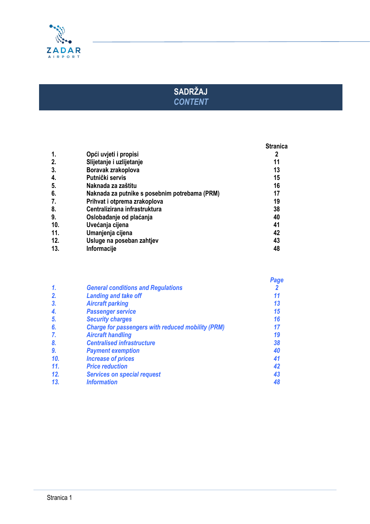

# **SADRŽAJ** *CONTENT*

|     |                                               | <b>Stranica</b> |
|-----|-----------------------------------------------|-----------------|
| 1.  | Opći uvjeti i propisi                         |                 |
| 2.  | Slijetanje i uzlijetanje                      | 11              |
| 3.  | Boravak zrakoplova                            | 13              |
| 4.  | Putnički servis                               | 15              |
| 5.  | Naknada za zaštitu                            | 16              |
| 6.  | Naknada za putnike s posebnim potrebama (PRM) | 17              |
| 7.  | Prihvat i otprema zrakoplova                  | 19              |
| 8.  | Centralizirana infrastruktura                 | 38              |
| 9.  | Oslobađanje od plaćanja                       | 40              |
| 10. | Uvećanja cijena                               | 41              |
| 11. | Umanjenja cijena                              | 42              |
| 12. | Usluge na poseban zahtjev                     | 43              |
| 13. | Informacije                                   | 48              |

|     |                                                          | Page |
|-----|----------------------------------------------------------|------|
| 1.  | <b>General conditions and Regulations</b>                |      |
| 2.  | <b>Landing and take off</b>                              |      |
| 3.  | <b>Aircraft parking</b>                                  | 13   |
| 4.  | <b>Passenger service</b>                                 | 15   |
| 5.  | <b>Security charges</b>                                  | 16   |
| 6.  | <b>Charge for passengers with reduced mobility (PRM)</b> |      |
| 7.  | <b>Aircraft handling</b>                                 | 19   |
| 8.  | <b>Centralised infrastructure</b>                        | 38   |
| 9.  | <b>Payment exemption</b>                                 | 40   |
| 10. | <b>Increase of prices</b>                                | 41   |
| 11. | <b>Price reduction</b>                                   | 42   |
| 12. | <b>Services on special request</b>                       | 43   |
| 13. | <b>Information</b>                                       | 48   |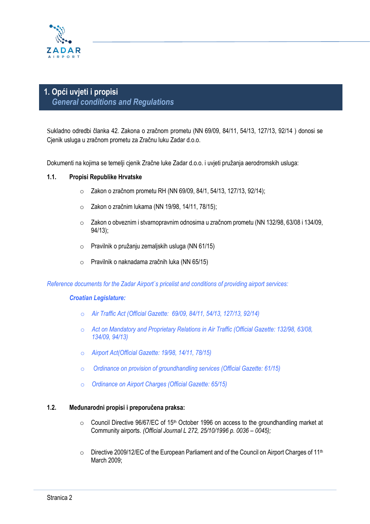

# **1. Opći uvjeti i propisi**  *General conditions and Regulations*

Sukladno odredbi članka 42. Zakona o zračnom prometu (NN 69/09, 84/11, 54/13, 127/13, 92/14 ) donosi se Cjenik usluga u zračnom prometu za Zračnu luku Zadar d.o.o.

Dokumenti na kojima se temelji cjenik Zračne luke Zadar d.o.o. i uvjeti pružanja aerodromskih usluga:

#### **1.1. Propisi Republike Hrvatske**

- o Zakon o zračnom prometu RH (NN 69/09, 84/1, 54/13, 127/13, 92/14);
- o Zakon o zračnim lukama (NN 19/98, 14/11, 78/15);
- $\circ$  Zakon o obveznim i stvarnopravnim odnosima u zračnom prometu (NN 132/98, 63/08 i 134/09, 94/13);
- o Pravilnik o pružanju zemaljskih usluga (NN 61/15)
- o Pravilnik o naknadama zračnih luka (NN 65/15)

*Reference documents for the Zadar Airport`s pricelist and conditions of providing airport services:*

#### *Croatian Legislature:*

- o *Air Traffic Act (Official Gazette: 69/09, 84/11, 54/13, 127/13, 92/14)*
- o *Act on Mandatory and Proprietary Relations in Air Traffic (Official Gazette: 132/98, 63/08, 134/09, 94/13)*
- o *Airport Act(Official Gazette: 19/98, 14/11, 78/15)*
- o *Ordinance on provision of groundhandling services (Official Gazette: 61/15)*
- o *Ordinance on Airport Charges (Official Gazette: 65/15)*

#### **1.2. Međunarodni propisi i preporučena praksa:**

- $\circ$  Council Directive 96/67/EC of 15<sup>th</sup> October 1996 on access to the groundhandling market at Community airports. *(Official Journal L 272, 25/10/1996 p. 0036 – 0045);*
- $\circ$  Directive 2009/12/EC of the European Parliament and of the Council on Airport Charges of 11<sup>th</sup> March 2009;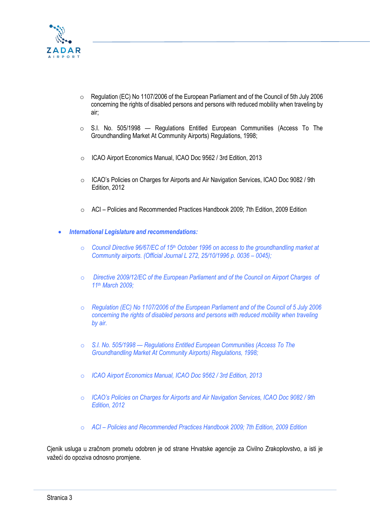

- o Regulation (EC) No 1107/2006 of the European Parliament and of the Council of 5th July 2006 concerning the rights of disabled persons and persons with reduced mobility when traveling by air;
- o S.I. No. 505/1998 Regulations Entitled European Communities (Access To The Groundhandling Market At Community Airports) Regulations, 1998;
- o ICAO Airport Economics Manual, ICAO Doc 9562 / 3rd Edition, 2013
- o ICAO's Policies on Charges for Airports and Air Navigation Services, ICAO Doc 9082 / 9th Edition, 2012
- o ACI Policies and Recommended Practices Handbook 2009; 7th Edition, 2009 Edition
- *International Legislature and recommendations:*
	- o *Council Directive 96/67/EC of 15th October 1996 on access to the groundhandling market at Community airports. (Official Journal L 272, 25/10/1996 p. 0036 – 0045);*
	- o *Directive 2009/12/EC of the European Parliament and of the Council on Airport Charges of 11th March 2009;*
	- o *Regulation (EC) No 1107/2006 of the European Parliament and of the Council of 5 July 2006 concerning the rights of disabled persons and persons with reduced mobility when traveling by air.*
	- o *S.I. No. 505/1998 — Regulations Entitled European Communities (Access To The Groundhandling Market At Community Airports) Regulations, 1998;*
	- o *ICAO Airport Economics Manual, ICAO Doc 9562 / 3rd Edition, 2013*
	- o *ICAO's Policies on Charges for Airports and Air Navigation Services, ICAO Doc 9082 / 9th Edition, 2012*
	- o *ACI – Policies and Recommended Practices Handbook 2009; 7th Edition, 2009 Edition*

Cjenik usluga u zračnom prometu odobren je od strane Hrvatske agencije za Civilno Zrakoplovstvo, a isti je važeći do opoziva odnosno promjene.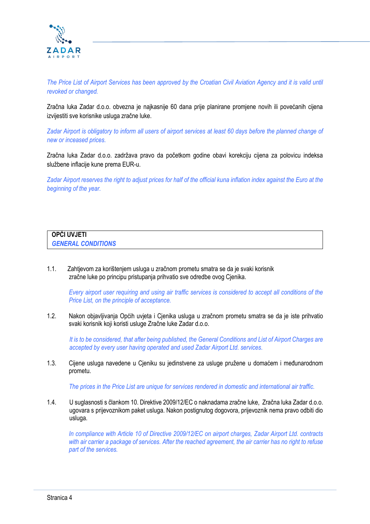

*The Price List of Airport Services has been approved by the Croatian Civil Aviation Agency and it is valid until revoked or changed.*

Zračna luka Zadar d.o.o. obvezna je najkasnije 60 dana prije planirane promjene novih ili povećanih cijena izvijestiti sve korisnike usluga zračne luke.

*Zadar Airport is obligatory to inform all users of airport services at least 60 days before the planned change of new or inceased prices.*

Zračna luka Zadar d.o.o. zadržava pravo da početkom godine obavi korekciju cijena za polovicu indeksa službene inflacije kune prema EUR-u.

*Zadar Airport reserves the right to adjust prices for half of the official kuna inflation index against the Euro at the beginning of the year.*

| <b>OPĆI UVJETI</b>        |  |  |
|---------------------------|--|--|
| <b>GENERAL CONDITIONS</b> |  |  |

1.1. Zahtjevom za korištenjem usluga u zračnom prometu smatra se da je svaki korisnik zračne luke po principu pristupanja prihvatio sve odredbe ovog Cjenika.

*Every airport user requiring and using air traffic services is considered to accept all conditions of the Price List, on the principle of acceptance.*

1.2. Nakon objavljivanja Općih uvjeta i Cjenika usluga u zračnom prometu smatra se da je iste prihvatio svaki korisnik koji koristi usluge Zračne luke Zadar d.o.o.

*It is to be considered, that after being published, the General Conditions and List of Airport Charges are accepted by every user having operated and used Zadar Airport Ltd. services.*

1.3. Cijene usluga navedene u Cjeniku su jedinstvene za usluge pružene u domaćem i međunarodnom prometu.

*The prices in the Price List are unique for services rendered in domestic and international air traffic.*

1.4. U suglasnosti s člankom 10. Direktive 2009/12/EC o naknadama zračne luke, Zračna luka Zadar d.o.o. ugovara s prijevoznikom paket usluga. Nakon postignutog dogovora, prijevoznik nema pravo odbiti dio usluga.

*In compliance with Article 10 of Directive 2009/12/EC on airport charges, Zadar Airport Ltd. contracts with air carrier a package of services. After the reached agreement, the air carrier has no right to refuse part of the services.*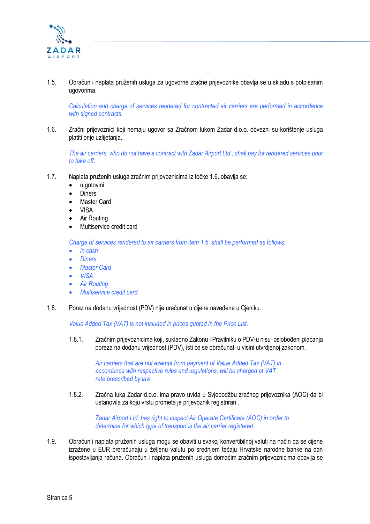

1.5. Obračun i naplata pruženih usluga za ugovorne zračne prijevoznike obavlja se u skladu s potpisanim ugovorima.

*Calculation and charge of services rendered for contracted air carriers are performed in accordance with signed contracts.*

1.6. Zračni prijevoznici koji nemaju ugovor sa Zračnom lukom Zadar d.o.o. obvezni su korištenje usluga platiti prije uzlijetanja.

*The air carriers, who do not have a contract with Zadar Airport Ltd., shall pay for rendered services prior to take off.*

- 1.7. Naplata pruženih usluga zračnim prijevoznicima iz točke 1.6. obavlja se:
	- u gotovini
	- **Diners**
	- Master Card
	- VISA
	- Air Routing
	- Multiservice credit card

*Charge of services rendered to air carriers from item 1.6. shall be performed as follows:*

- *in cash*
- *Diners*
- *Master Card*
- *VISA*
- *Air Routing*
- *Multiservice credit card*
- 1.8. Porez na dodanu vrijednost (PDV) nije uračunat u cijene navedene u Cjeniku.

*Value Added Tax (VAT) is not included in prices quoted in the Price List.*

1.8.1. Zračnim prijevoznicima koji, sukladno Zakonu i Pravilniku o PDV-u nisu oslobođeni plaćanja poreza na dodanu vrijednost (PDV), isti će se obračunati u visini utvrdjenoj zakonom.

> *Air carriers that are not exempt from payment of Value Added Tax (VAT) in accordance with respective rules and regulations, will be charged at VAT rate prescribed by law.*

1.8.2. Zračna luka Zadar d.o.o. ima pravo uvida u Svjedodžbu zračnog prijevoznika (AOC) da bi ustanovila za koju vrstu prometa je prijevoznik registriran .

> *Zadar Airport Ltd. has right to inspect Air Operate Certificate (AOC) in order to determine for which type of transport is the air carrier registered.*

1.9. Obračun i naplata pruženih usluga mogu se obaviti u svakoj konvertibilnoj valuti na način da se cijene izražene u EUR preračunaju u željenu valutu po srednjem tečaju Hrvatske narodne banke na dan ispostavljanja računa. Obračun i naplata pruženih usluga domaćim zračnim prijevoznicima obavlja se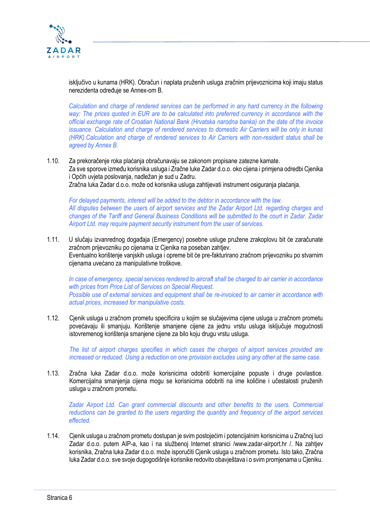

isključivo u kunama (HRK). Obračun i naplata pruženih usluga zračnim prijevoznicima koji imaju status nerezidenta određuje se Annex-om B.

*Calculation and charge of rendered services can be performed in any hard currency in the following way: The prices quoted in EUR are to be calculated into preferred currency in accordance with the official exchange rate of Croatian National Bank (Hrvatska narodna banka) on the date of the invoice issuance. Calculation and charge of rendered services to domestic Air Carriers will be only in kunas (HRK).Calculation and charge of rendered services to Air Carriers with non-resident status shall be agreed by Annex B.*

1.10. Za prekoračenje roka plaćanja obračunavaju se zakonom propisane zatezne kamate. Za sve sporove između korisnika usluga i Zračne luke Zadar d.o.o. oko cijena i primjena odredbi Cjenika i Općih uvjeta poslovanja, nadležan je sud u Zadru. Zračna luka Zadar d.o.o. može od korisnika usluga zahtijevati instrument osiguranja plaćanja.

*For delayed payments, interest will be added to the debtor in accordance with the law. All disputes between the users of airport services and the Zadar Airport Ltd. regarding charges and changes of the Tariff and General Business Conditions will be submitted to the court in Zadar. Zadar Airport Ltd. may require payment security instrument from the user of services.*

1.11. U slučaju izvanrednog događaja (Emergency) posebne usluge pružene zrakoplovu bit će zaračunate zračnom prijevozniku po cijenama iz Cjenika na poseban zahtjev. Eventualno korištenje vanjskih usluga i opreme bit će pre-fakturirano zračnom prijevozniku po stvarnim cijenama uvećano za manipulativne troškove.

*In case of emergency, special services rendered to aircraft shall be charged to air carrier in accordance with prices from Price List of Services on Special Request. Possible use of external services and equipment shall be re-invoiced to air carrier in accordance with actual prices, increased for manipulative costs.*

1.12. Cjenik usluga u zračnom prometu specificira u kojim se slučajevima cijene usluga u zračnom prometu povećavaju ili smanjuju. Korištenje smanjene cijene za jednu vrstu usluga isključuje mogućnosti istovremenog korištenja smanjene cijene za bilo koju drugu vrstu usluga.

*The list of airport charges specifies in which cases the charges of airport services provided are increased or reduced. Using a reduction on one provision excludes using any other at the same case.*

1.13. Zračna luka Zadar d.o.o. može korisnicima odobriti komercijalne popuste i druge povlastice. Komercijalna smanjenja cijena mogu se korisnicima odobriti na ime količine i učestalosti pruženih usluga u zračnom prometu.

*Zadar Airport Ltd. Can grant commercial discounts and other benefits to the users. Commercial reductions can be granted to the users regarding the quantity and frequency of the airport services effected.*

1.14. Cjenik usluga u zračnom prometu dostupan je svim postojećim i potencijalnim korisnicima u Zračnoj luci Zadar d.o.o. putem AIP-a, kao i na službenoj Internet stranici /www.zadar-airport.hr /. Na zahtjev korisnika, Zračna luka Zadar d.o.o. može isporučiti Cjenik usluga u zračnom prometu. Isto tako, Zračna luka Zadar d.o.o. sve svoje dugogodišnje korisnike redovito obavještava i o svim promjenama u Cjeniku.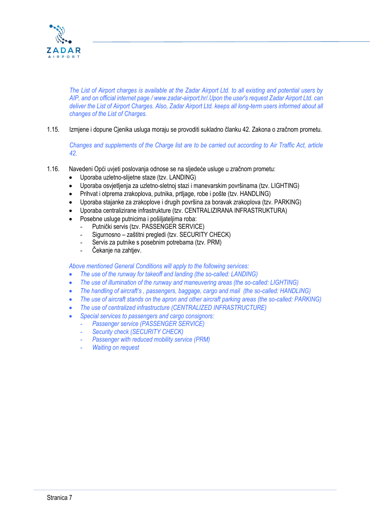

*The List of Airport charges is available at the Zadar Airport Ltd. to all existing and potential users by AIP, and on official internet page / www.zadar-airport.hr/.Upon the user's request Zadar Airport Ltd. can deliver the List of Airport Charges. Also, Zadar Airport Ltd. keeps all long-term users informed about all changes of the List of Charges.*

1.15. Izmjene i dopune Cjenika usluga moraju se provoditi sukladno članku 42. Zakona o zračnom prometu.

*Changes and supplements of the Charge list are to be carried out according to Air Traffic Act, article 42.*

- 1.16. Navedeni Opći uvjeti poslovanja odnose se na sljedeće usluge u zračnom prometu:
	- Uporaba uzletno-slijetne staze (tzv. LANDING)
	- Uporaba osvjetljenja za uzletno-sletnoj stazi i manevarskim površinama (tzv. LIGHTING)
	- Prihvat i otprema zrakoplova, putnika, prtljage, robe i pošte (tzv. HANDLING)
	- Uporaba stajanke za zrakoplove i drugih površina za boravak zrakoplova (tzv. PARKING)
	- Uporaba centralizirane infrastrukture (tzv. CENTRALIZIRANA INFRASTRUKTURA)
	- Posebne usluge putnicima i pošiljateljima roba:
		- Putnički servis (tzv. PASSENGER SERVICE)
		- Sigurnosno zaštitni pregledi (tzv. SECURITY CHECK)
		- Servis za putnike s posebnim potrebama (tzv. PRM)
		- Čekanie na zahtiev.

*Above mentioned General Conditions will apply to the following services:*

- *The use of the runway for takeoff and landing (the so-called: LANDING)*
- *The use of illumination of the runway and maneuvering areas (the so-called: LIGHTING)*
- *The handling of aircraft's , passengers, baggage, cargo and mail (the so-called: HANDLING)*
- *The use of aircraft stands on the apron and other aircraft parking areas (the so-called: PARKING)*
- *The use of centralized infrastructure (CENTRALIZED INFRASTRUCTURE)*
- *Special services to passengers and cargo consignors:*
	- *Passenger service (PASSENGER SERVICE)*
		- *Security check (SECURITY CHECK)*
		- **Passenger with reduced mobility service (PRM)**
	- *Waiting on request*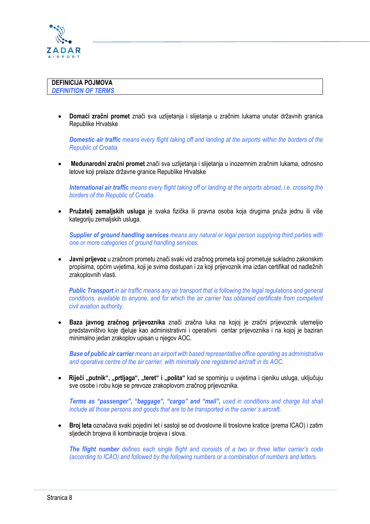

• **Domaći zračni promet** znači sva uzlijetanja i slijetanja u zračnim lukama unutar državnih granica Republike Hrvatske

*Domestic air traffic means every flight taking off and landing at the airports within the borders of the Republic of Croatia.*

• **Međunarodni zračni promet** znači sva uzlijetanja i slijetanja u inozemnim zračnim lukama, odnosno letove koji prelaze državne granice Republike Hrvatske

*International air traffic means every flight taking off or landing at the airports abroad, i.e. crossing the borders of the Republic of Croatia.*

• **Pružatelj zemaljskih usluga** je svaka fizička ili pravna osoba koja drugima pruža jednu ili više kategoriju zemaljskih usluga.

*Supplier of ground handling services means any natural or legal person supplying third parties with one or more categories of ground handling services.*

• **Javni prijevoz** u zračnom prometu znači svaki vid zračnog prometa koji prometuje sukladno zakonskim propisima, općim uvjetima, koji je svima dostupan i za koji prijevoznik ima izdan certifikat od nadležnih zrakoplovnih vlasti.

*Public Transport in air traffic means any air transport that is following the legal regulations and general conditions, available to anyone, and for which the air carrier has obtained certificate from competent civil aviation authority.*

• **Baza javnog zračnog prijevoznika** znači zračna luka na kojoj je zračni prijevoznik utemeljio predstavništvo koje djeluje kao administrativni i operativni centar prijevoznika i na kojoj je baziran minimalno jedan zrakoplov upisan u njegov AOC.

*Base of public air carrier means an airport with based representative office operating as administrative and operative centre of the air carrier, with minimally one registered aircraft in its AOC.*

• **Riječi "putnik", "prtljaga", "teret" i "pošta"** kad se spominju u uvjetima i cjeniku usluga, uključuju sve osobe i robu koje se prevoze zrakoplovom zračnog prijevoznika.

*Terms as "passenger", "baggage", "cargo" and "mail", used in conditions and charge list shall include all those persons and goods that are to be transported in the carrier`s aircraft.*

• **Broj leta** označava svaki pojedini let i sastoji se od dvoslovne ili troslovne kratice (prema ICAO) i zatim sljedećih brojeva ili kombinacije brojeva i slova.

*The flight number defines each single flight and consists of a two or three letter carrier's code (according to ICAO) and followed by the following numbers or a combination of numbers and letters.*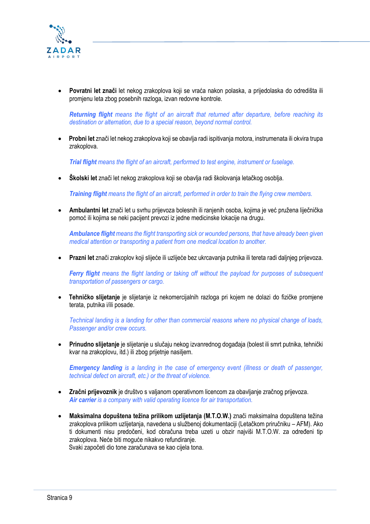

• **Povratni let znači** let nekog zrakoplova koji se vraća nakon polaska, a prijedolaska do odredišta ili promjenu leta zbog posebnih razloga, izvan redovne kontrole.

*Returning flight means the flight of an aircraft that returned after departure, before reaching its destination or alternation, due to a special reason, beyond normal control.*

• **Probni let** znači let nekog zrakoplova koji se obavlja radi ispitivanja motora, instrumenata ili okvira trupa zrakoplova.

*Trial flight means the flight of an aircraft, performed to test engine, instrument or fuselage.* 

• **Školski let** znači let nekog zrakoplova koji se obavlja radi školovanja letačkog osoblja.

*Training flight means the flight of an aircraft, performed in order to train the flying crew members.* 

• **Ambulantni let** znači let u svrhu prijevoza bolesnih ili ranjenih osoba, kojima je već pružena liječnička pomoć ili kojima se neki pacijent prevozi iz jedne medicinske lokacije na drugu.

*Ambulance flight means the flight transporting sick or wounded persons, that have already been given medical attention or transporting a patient from one medical location to another.*

• **Prazni let** znači zrakoplov koji slijeće ili uzlijeće bez ukrcavanja putnika ili tereta radi daljnjeg prijevoza.

*Ferry flight means the flight landing or taking off without the payload for purposes of subsequent transportation of passengers or cargo.*

• **Tehničko slijetanje** je slijetanje iz nekomercijalnih razloga pri kojem ne dolazi do fizičke promjene terata, putnika i/ili posade.

*Technical landing is a landing for other than commercial reasons where no physical change of loads, Passenger and/or crew occurs.*

• **Prinudno slijetanje** je slijetanje u slučaju nekog izvanrednog događaja (bolest ili smrt putnika, tehnički kvar na zrakoplovu, itd.) ili zbog prijetnje nasiljem.

*Emergency landing is a landing in the case of emergency event (illness or death of passenger, technical defect on aircraft, etc.) or the threat of violence.*

- **Zračni prijevoznik** je društvo s valjanom operativnom licencom za obavljanje zračnog prijevoza. *Air carrier is a company with valid operating licence for air transportation.*
- **Maksimalna dopuštena težina prilikom uzlijetanja (M.T.O.W.)** znači maksimalna dopuštena težina zrakoplova prilikom uzlijetanja, navedena u službenoj dokumentaciji (Letačkom priručniku – AFM). Ako ti dokumenti nisu predočeni, kod obračuna treba uzeti u obzir najviši M.T.O.W. za određeni tip zrakoplova. Neće biti moguće nikakvo refundiranje.

Svaki započeti dio tone zaračunava se kao cijela tona.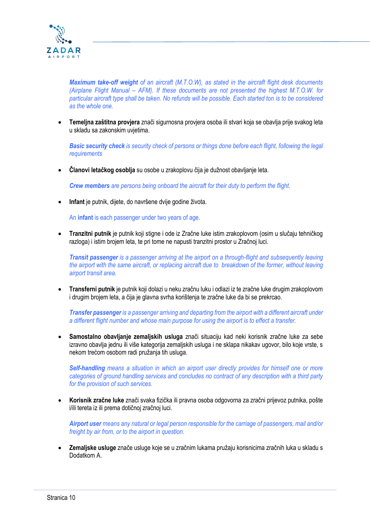

*Maximum take-off weight of an aircraft (M.T.O.W), as stated in the aircraft flight desk documents (Airplane Flight Manual – AFM). If these documents are not presented the highest M.T.O.W. for particular aircraft type shall be taken. No refunds will be possible. Each started ton is to be considered as the whole one.*

• **Temeljna zaštitna provjera** znači sigurnosna provjera osoba ili stvari koja se obavlja prije svakog leta u skladu sa zakonskim uvjetima.

*Basic security check is security check of persons or things done before each flight, following the legal requirements*

• **Članovi letačkog osoblja** su osobe u zrakoplovu čija je dužnost obavljanje leta.

*Crew members are persons being onboard the aircraft for their duty to perform the flight.*

• **Infant** je putnik, dijete, do navršene dvije godine života.

An **infant** is each passenger under two years of age.

• **Tranzitni putnik** je putnik koji stigne i ode iz Zračne luke istim zrakoplovom (osim u slučaju tehničkog razloga) i istim brojem leta, te pri tome ne napusti tranzitni prostor u Zračnoj luci.

*Transit passenger is a passenger arriving at the airport on a through-flight and subsequently leaving the airport with the same aircraft, or replacing aircraft due to breakdown of the former, without leaving airport transit area.*

• **Transferni putnik** je putnik koji dolazi u neku zračnu luku i odlazi iz te zračne luke drugim zrakoplovom i drugim brojem leta, a čija je glavna svrha korištenja te zračne luke da bi se prekrcao.

*Transfer passenger is a passenger arriving and departing from the airport with a different aircraft under a different flight number and whose main purpose for using the airport is to effect a transfer.*

• **Samostalno obavljanje zemaljskih usluga** znači situaciju kad neki korisnik zračne luke za sebe izravno obavlja jednu ili više kategorija zemaljskih usluga i ne sklapa nikakav ugovor, bilo koje vrste, s nekom trećom osobom radi pružanja tih usluga.

*Self-handling means a situation in which an airport user directly provides for himself one or more categories of ground handling services and concludes no contract of any description with a third party for the provision of such services.*

• **Korisnik zračne luke** znači svaka fizička ili pravna osoba odgovorna za zračni prijevoz putnika, pošte i/ili tereta iz ili prema dotičnoj zračnoj luci.

*Airport user means any natural or legal person responsible for the carriage of passengers, mail and/or freight by air from, or to the airport in question.*

• **Zemaljske usluge** znače usluge koje se u zračnim lukama pružaju korisnicima zračnih luka u skladu s Dodatkom A.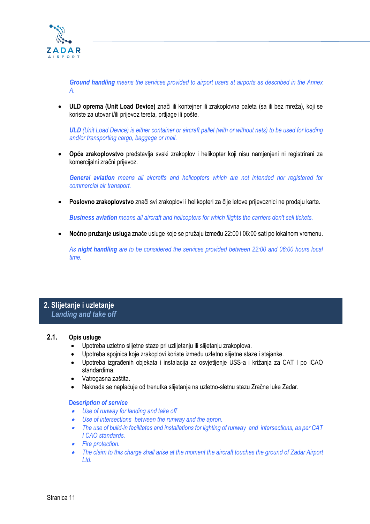

*Ground handling means the services provided to airport users at airports as described in the Annex A.* 

• **ULD oprema (Unit Load Device)** znači ili kontejner ili zrakoplovna paleta (sa ili bez mreža), koji se koriste za utovar i/ili prijevoz tereta, prtljage ili pošte.

*ULD (Unit Load Device) is either container or aircraft pallet (with or without nets) to be used for loading and/or transporting cargo, baggage or mail.* 

• **Opće zrakoplovstvo** predstavlja svaki zrakoplov i helikopter koji nisu namjenjeni ni registrirani za komercijalni zračni prijevoz.

*General aviation means all aircrafts and helicopters which are not intended nor registered for commercial air transport.* 

• **Poslovno zrakoplovstvo** znači svi zrakoplovi i helikopteri za čije letove prijevoznici ne prodaju karte.

*Business aviation means all aircraft and helicopters for which flights the carriers don't sell tickets.* 

• **Noćno pružanje usluga** znače usluge koje se pružaju između 22:00 i 06:00 sati po lokalnom vremenu.

*As night handling are to be considered the services provided between 22:00 and 06:00 hours local time.* 

## **2. Slijetanje i uzletanje**  *Landing and take off*

#### **2.1. Opis usluge**

- Upotreba uzletno slijetne staze pri uzlijetanju ili slijetanju zrakoplova.
- Upotreba spojnica koje zrakoplovi koriste između uzletno slijetne staze i stajanke.
- Upotreba izgrađenih objekata i instalacija za osvjetljenje USS-a i križanja za CAT I po ICAO standardima.
- Vatrogasna zaštita.
- Naknada se naplaćuje od trenutka slijetanja na uzletno-sletnu stazu Zračne luke Zadar.

#### **Desc***ription of service*

- *Use of runway for landing and take off*
- *Use of intersections between the runway and the apron.*
- • *The use of build-in facilitetes and installations for lighting of runway and intersections, as per CAT I CAO standards.*
- *Fire protection.*
- • *The claim to this charge shall arise at the moment the aircraft touches the ground of Zadar Airport Ltd.*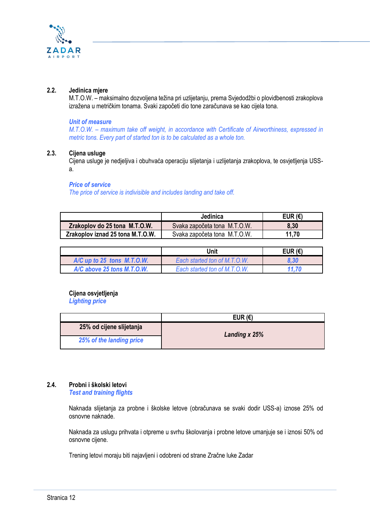

#### **2.2. Jedinica mjere**

M.T.O.W. – maksimalno dozvoljena težina pri uzlijetanju, prema Svjedodžbi o plovidbenosti zrakoplova izražena u metričkim tonama. Svaki započeti dio tone zaračunava se kao cijela tona.

#### *Unit of measure*

*M.T.O.W. – maximum take off weight, in accordance with Certificate of Airworthiness, expressed in metric tons. Every part of started ton is to be calculated as a whole ton.*

#### **2.3. Cijena usluge**

Cijena usluge je nedjeljiva i obuhvaća operaciju slijetanja i uzlijetanja zrakoplova, te osvjetljenja USSa.

#### *Price of service*

*The price of service is indivisible and includes landing and take off.*

|                                  | Jedinica                     | EUR $(E)$ |
|----------------------------------|------------------------------|-----------|
| Zrakoplov do 25 tona M.T.O.W.    | Svaka započeta tona M.T.O.W. | 8,30      |
| Zrakoplov iznad 25 tona M.T.O.W. | Svaka započeta tona M.T.O.W. | 11.70     |

|                                | Unit                         | EUR $(E)$ |
|--------------------------------|------------------------------|-----------|
| $A/C$ up to 25 tons $M.T.O.W.$ | Each started ton of M.T.O.W. | 8.30      |
| $A/C$ above 25 tons M.T.O.W.   | Each started ton of M.T.O.W. | 11.70     |

#### **Cijena osvjetljenja**

*Lighting price*

|                          | EUR $(E)$     |  |
|--------------------------|---------------|--|
| 25% od cijene slijetanja | Landing x 25% |  |
| 25% of the landing price |               |  |

#### **2.4. Probni i školski letovi**

*Test and training flights*

Naknada slijetanja za probne i školske letove (obračunava se svaki dodir USS-a) iznose 25% od osnovne naknade.

Naknada za uslugu prihvata i otpreme u svrhu školovanja i probne letove umanjuje se i iznosi 50% od osnovne cijene.

Trening letovi moraju biti najavljeni i odobreni od strane Zračne luke Zadar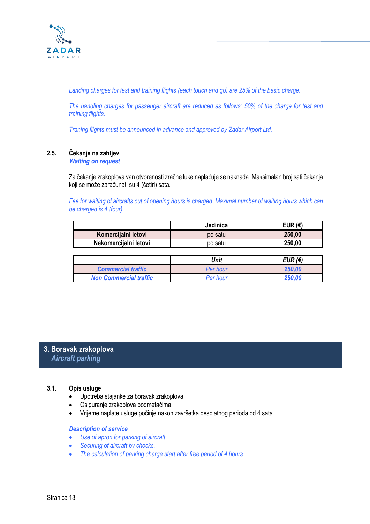

*Landing charges for test and training flights (each touch and go) are 25% of the basic charge.* 

*The handling charges for passenger aircraft are reduced as follows: 50% of the charge for test and training flights.*

*Traning flights must be announced in advance and approved by Zadar Airport Ltd.*

# **2.5. Čekanje na zahtjev**

#### *Waiting on request*

Za čekanje zrakoplova van otvorenosti zračne luke naplaćuje se naknada. Maksimalan broj sati čekanja koji se može zaračunati su 4 (četiri) sata.

*Fee for waiting of aircrafts out of opening hours is charged. Maximal number of waiting hours which can be charged is 4 (four).*

|                       | Jedinica | EUR (€) |
|-----------------------|----------|---------|
| Komercijalni letovi   | po satu  | 250,00  |
| Nekomercijalni letovi | po satu  | 250,00  |

|                               | Unit            | EUR $(E)$ |
|-------------------------------|-----------------|-----------|
| <b>Commercial traffic</b>     | <b>Per hour</b> | 250.00    |
| <b>Non Commercial traffic</b> | Per hour        | 250 NA    |

## **3. Boravak zrakoplova**  *Aircraft parking*

#### **3.1. Opis usluge**

- Upotreba stajanke za boravak zrakoplova.
- Osiguranje zrakoplova podmetačima.
- Vrijeme naplate usluge počinje nakon završetka besplatnog perioda od 4 sata

#### *Description of service*

- *Use of apron for parking of aircraft.*
- *Securing of aircraft by chocks.*
- *The calculation of parking charge start after free period of 4 hours.*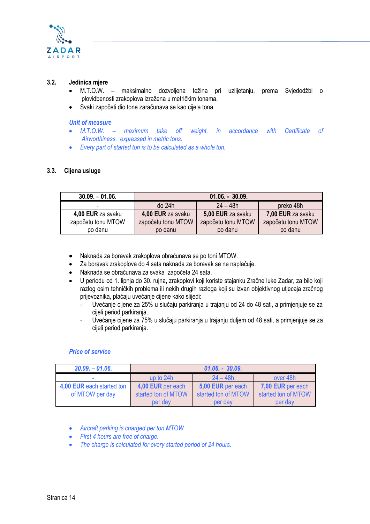

#### **3.2. Jedinica mjere**

- M.T.O.W. maksimalno dozvoljena težina pri uzlijetanju, prema Svjedodžbi o plovidbenosti zrakoplova izražena u metričkim tonama.
- Svaki započeti dio tone zaračunava se kao cijela tona.

#### *Unit of measure*

- *M.T.O.W. – maximum take off weight, in accordance with Certificate of Airworthiness, expressed in metric tons.*
- *Every part of started ton is to be calculated as a whole ton.*

#### **3.3. Cijena usluge**

| $30.09 - 01.06$          | $01.06. - 30.09.$  |                    |                    |
|--------------------------|--------------------|--------------------|--------------------|
| $\overline{\phantom{a}}$ | do 24h             | $24 - 48h$         | preko 48h          |
| 4,00 EUR za svaku        | 4,00 EUR za svaku  | 5,00 EUR za svaku  | 7,00 EUR za svaku  |
| započetu tonu MTOW       | započetu tonu MTOW | započetu tonu MTOW | započetu tonu MTOW |
| po danu                  | po danu            | po danu            | po danu            |

- Naknada za boravak zrakoplova obračunava se po toni MTOW.
- Za boravak zrakoplova do 4 sata naknada za boravak se ne naplaćuje.
- Naknada se obračunava za svaka započeta 24 sata.
- U periodu od 1. lipnja do 30. rujna, zrakoplovi koji koriste stajanku Zračne luke Zadar, za bilo koji razlog osim tehničkih problema ili nekih drugih razloga koji su izvan objektivnog utjecaja zračnog prijevoznika, plaćaju uvećanje cijene kako slijedi:
	- Uvećanje cijene za 25% u slučaju parkiranja u trajanju od 24 do 48 sati, a primjenjuje se za cijeli period parkiranja.
	- Uvećanje cijene za 75% u slučaju parkiranja u trajanju duljem od 48 sati, a primjenjuje se za cijeli period parkiranja.

#### *Price of service*

| $30.09 - 01.06$           | $01.06. - 30.09.$                   |                     |                     |
|---------------------------|-------------------------------------|---------------------|---------------------|
| $\sim$                    | $24 - 48h$<br>up to 24h<br>over 48h |                     |                     |
| 4,00 EUR each started ton | 4,00 EUR per each                   | 5,00 EUR per each   | 7,00 EUR per each   |
| of MTOW per day           | started ton of MTOW                 | started ton of MTOW | started ton of MTOW |
|                           | per day<br>per day                  |                     | per day             |

- *Aircraft parking is charged per ton MTOW*
- *First 4 hours are free of charge.*
- *The charge is calculated for every started period of 24 hours.*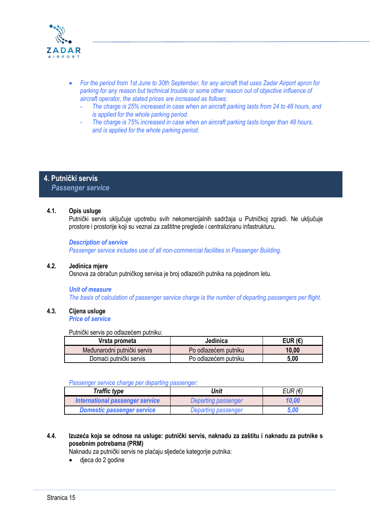

- *For the period from 1st June to 30th September, for any aircraft that uses Zadar Airport apron for parking for any reason but technical trouble or some other reason out of objective influence of aircraft operator, the stated prices are increased as follows:*
	- *The charge is 25% increased in case when an aircraft parking lasts from 24 to 48 hours, and is applied for the whole parking period.*
	- *The charge is 75% increased in case when an aircraft parking lasts longer than 48 hours, and is applied for the whole parking period.*

# **4. Putnički servis**

 *Passenger service*

#### **4.1. Opis usluge**

Putnički servis uključuje upotrebu svih nekomercijalnih sadržaja u Putničkoj zgradi. Ne uključuje prostore i prostorije koji su veznai za zaštitne preglede i centraliziranu infastrukturu.

#### *Description of service*

*Passenger service includes use of all non-commercial facilities in Passenger Building.*

#### **4.2. Jedinica mjere**

Osnova za obračun putničkog servisa je broj odlazećih putnika na pojedinom letu.

#### *Unit of measure*

*The basis of calculation of passenger service charge is the number of departing passengers per flight.*

#### **4.3. Cijena usluge**

*Price of service*

Putnički servis po odlazećem putniku:

| Vrsta prometa               | Jedinica             | EUR (€) |
|-----------------------------|----------------------|---------|
| Međunarodni putnički servis | Po odlazećem putniku | 10,00   |
| Domaći putnički servis      | Po odlazećem putniku | 5,00    |

#### *Passenger service charge per departing passenger:*

| <b>Traffic type</b>               | Unit                       | $E$ UR ( $\epsilon$ ) |
|-----------------------------------|----------------------------|-----------------------|
| International passenger service   | Departing passenger        | 10,00                 |
| <b>Domestic passenger service</b> | <b>Departing passenger</b> | 5.00                  |

#### **4.4. Izuzeća koja se odnose na usluge: putnički servis, naknadu za zaštitu i naknadu za putnike s posebnim potrebama (PRM)**

Naknadu za putnički servis ne plaćaju sljedeće kategorije putnika:

djeca do 2 godine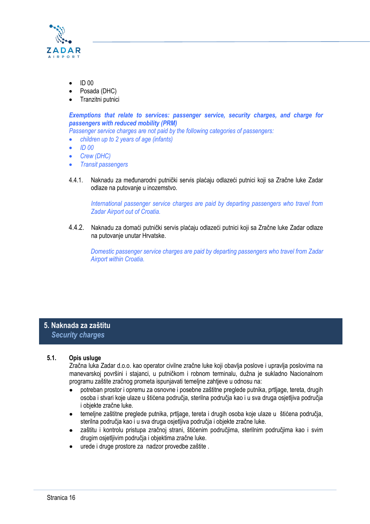

- ID 00
- Posada (DHC)
- Tranzitni putnici

*Exemptions that relate to services: passenger service, security charges, and charge for passengers with reduced mobility (PRM)*

*Passenger service charges are not paid by the following categories of passengers:*

- *children up to 2 years of age (infants)*
- *ID 00*
- *Crew (DHC)*
- *Transit passengers*
- 4.4.1. Naknadu za međunarodni putnički servis plaćaju odlazeći putnici koji sa Zračne luke Zadar odlaze na putovanje u inozemstvo.

*International passenger service charges are paid by departing passengers who travel from Zadar Airport out of Croatia.*

4.4.2. Naknadu za domaći putnički servis plaćaju odlazeći putnici koji sa Zračne luke Zadar odlaze na putovanje unutar Hrvatske.

*Domestic passenger service charges are paid by departing passengers who travel from Zadar Airport within Croatia.*

# **5. Naknada za zaštitu**  *Security charges*

#### **5.1. Opis usluge**

Zračna luka Zadar d.o.o. kao operator civilne zračne luke koji obavlja poslove i upravlja poslovima na manevarskoj površini i stajanci, u putničkom i robnom terminalu, dužna je sukladno Nacionalnom programu zaštite zračnog prometa ispunjavati temeljne zahtjeve u odnosu na:

- potreban prostor i opremu za osnovne i posebne zaštitne preglede putnika, prtljage, tereta, drugih osoba i stvari koje ulaze u štićena područja, sterilna područja kao i u sva druga osjetljiva područja i objekte zračne luke.
- temeljne zaštitne preglede putnika, prtljage, tereta i drugih osoba koje ulaze u štićena područja, sterilna područja kao i u sva druga osjetljiva područja i objekte zračne luke.
- zaštitu i kontrolu pristupa zračnoj strani, štićenim područjima, sterilnim područjima kao i svim drugim osjetljivim područja i objektima zračne luke.
- urede i druge prostore za nadzor provedbe zaštite .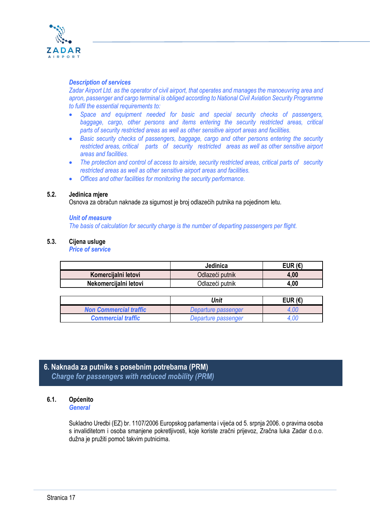

#### *Description of services*

*Zadar Airport Ltd. as the operator of civil airport, that operates and manages the manoeuvring area and apron, passenger and cargo terminal is obliged according to National Civil Aviation Security Programme to fulfil the essential requirements to:*

- *Space and equipment needed for basic and special security checks of passengers,*  baggage, cargo, other persons and items entering the security restricted areas, critical *parts of security restricted areas as well as other sensitive airport areas and facilities.*
- *Basic security checks of passengers, baggage, cargo and other persons entering the security restricted areas, critical parts of security restricted areas as well as other sensitive airport areas and facilities.*
- *The protection and control of access to airside, security restricted areas, critical parts of security restricted areas as well as other sensitive airport areas and facilities.*
- *Offices and other facilities for monitoring the security performance.*

#### **5.2. Jedinica mjere**

Osnova za obračun naknade za sigurnost je broj odlazećih putnika na pojedinom letu.

#### *Unit of measure*

*The basis of calculation for security charge is the number of departing passengers per flight.*

#### **5.3. Cijena usluge**

*Price of service*

|                       | Jedinica        | EUR (€) |
|-----------------------|-----------------|---------|
| Komercijalni letovi   | Odlazeći putnik | 4,00    |
| Nekomercijalni letovi | Odlazeći putnik | 4,00    |

|                               | Unit                | EUR $(E)$ |
|-------------------------------|---------------------|-----------|
| <b>Non Commercial traffic</b> | Departure passenger |           |
| <b>Commercial traffic</b>     | Departure passenger |           |

# **6. Naknada za putnike s posebnim potrebama (PRM)**  *Charge for passengers with reduced mobility (PRM)*

#### **6.1. Općenito**

*General*

Sukladno Uredbi (EZ) br. 1107/2006 Europskog parlamenta i vijeća od 5. srpnja 2006. o pravima osoba s invaliditetom i osoba smanjene pokretljivosti, koje koriste zračni prijevoz, Zračna luka Zadar d.o.o. dužna je pružiti pomoć takvim putnicima.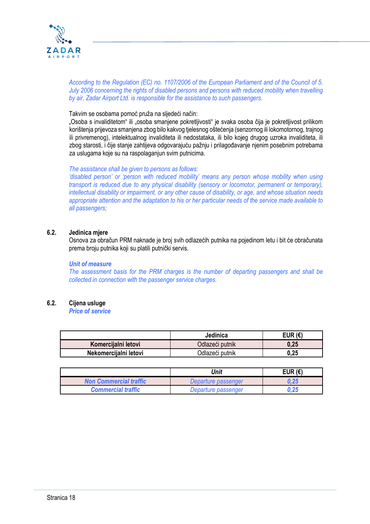

*According to the Regulation (EC) no. 1107/2006 of the European Parliament and of the Council of 5. July 2006 concerning the rights of disabled persons and persons with reduced mobility when travelling by air, Zadar Airport Ltd. is responsible for the assistance to such passengers.*

Takvim se osobama pomoć pruža na sljedeći način:

"Osoba s invaliditetom" ili "osoba smanjene pokretljivosti" je svaka osoba čija je pokretljivost prilikom korištenja prijevoza smanjena zbog bilo kakvog tjelesnog oštećenja (senzornog ili lokomotornog, trajnog ili privremenog), intelektualnog invaliditeta ili nedostataka, ili bilo kojeg drugog uzroka invaliditeta, ili zbog starosti, i čije stanje zahtijeva odgovarajuću pažnju i prilagođavanje njenim posebnim potrebama za uslugama koje su na raspolaganjun svim putnicima.

*The assistance shall be given to persons as follows:*

*'disabled person' or 'person with reduced mobility' means any person whose mobility when using transport is reduced due to any physical disability (sensory or locomotor, permanent or temporary), intellectual disability or impairment, or any other cause of disability, or age, and whose situation needs appropriate attention and the adaptation to his or her particular needs of the service made available to all passengers;*

#### **6.2. Jedinica mjere**

Osnova za obračun PRM naknade je broj svih odlazećih putnika na pojedinom letu i bit će obračunata prema broju putnika koji su platili putnički servis.

#### *Unit of measure*

*The assessment basis for the PRM charges is the number of departing passengers and shall be collected in connection with the passenger service charges.*

#### **6.2. Cijena usluge**

*Price of service*

|                       | Jedinica        | EUR ( $\epsilon$ ) |
|-----------------------|-----------------|--------------------|
| Komercijalni letovi   | Odlazeći putnik | 0.25               |
| Nekomercijalni letovi | Odlazeći putnik | 0.25               |

|                               | Unit                | EUR $(E)$ |
|-------------------------------|---------------------|-----------|
| <b>Non Commercial traffic</b> | Departure passenger | 0.25      |
| <b>Commercial traffic</b>     | Departure passenger | 0.25      |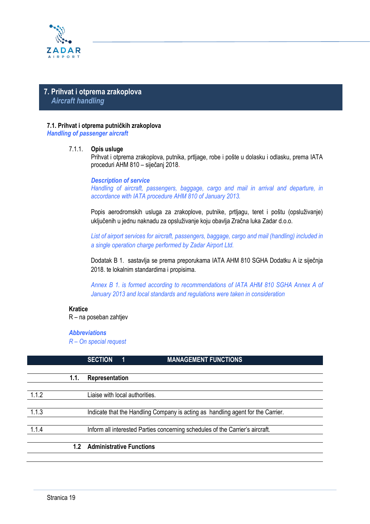

# **7. Prihvat i otprema zrakoplova**  *Aircraft handling*

#### **7.1. Prihvat i otprema putničkih zrakoplova**

*Handling of passenger aircraft* 

#### 7.1.1. **Opis usluge**

Prihvat i otprema zrakoplova, putnika, prtljage, robe i pošte u dolasku i odlasku, prema IATA proceduri AHM 810 – siječanj 2018.

#### *Description of service*

*Handling of aircraft, passengers, baggage, cargo and mail in arrival and departure, in accordance with IATA procedure AHM 810 of January 2013.*

Popis aerodromskih usluga za zrakoplove, putnike, prtljagu, teret i poštu (opsluživanje) uključenih u jednu naknadu za opsluživanje koju obavlja Zračna luka Zadar d.o.o.

*List of airport services for aircraft, passengers, baggage, cargo and mail (handling) included in a single operation charge performed by Zadar Airport Ltd.*

Dodatak B 1. sastavlja se prema preporukama IATA AHM 810 SGHA Dodatku A iz siječnja 2018. te lokalnim standardima i propisima.

*Annex B 1. is formed according to recommendations of IATA AHM 810 SGHA Annex A of January 2013 and local standards and regulations were taken in consideration* 

#### **Kratice**

R – na poseban zahtjev

#### *Abbreviations*

*R – On special request*

|       |      | <b>SECTION</b><br>1             | <b>MANAGEMENT FUNCTIONS</b>                                                     |
|-------|------|---------------------------------|---------------------------------------------------------------------------------|
|       |      |                                 |                                                                                 |
|       | 1.1. | Representation                  |                                                                                 |
|       |      |                                 |                                                                                 |
| 1.1.2 |      | Liaise with local authorities.  |                                                                                 |
|       |      |                                 |                                                                                 |
| 1.1.3 |      |                                 | Indicate that the Handling Company is acting as handling agent for the Carrier. |
|       |      |                                 |                                                                                 |
| 1.1.4 |      |                                 | Inform all interested Parties concerning schedules of the Carrier's aircraft.   |
|       |      |                                 |                                                                                 |
|       | 1.2  | <b>Administrative Functions</b> |                                                                                 |
|       |      |                                 |                                                                                 |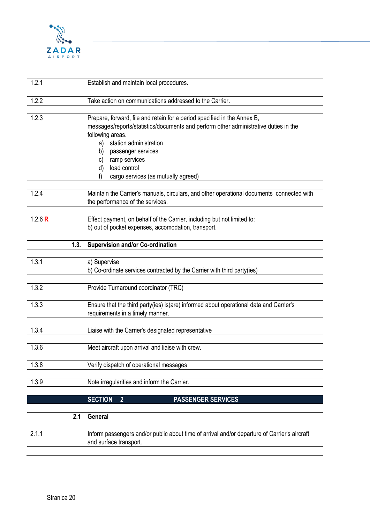

| 1.2.1     | Establish and maintain local procedures.                                                                                                                                                                                                                                                                                                   |
|-----------|--------------------------------------------------------------------------------------------------------------------------------------------------------------------------------------------------------------------------------------------------------------------------------------------------------------------------------------------|
| 1.2.2     | Take action on communications addressed to the Carrier.                                                                                                                                                                                                                                                                                    |
| 1.2.3     | Prepare, forward, file and retain for a period specified in the Annex B,<br>messages/reports/statistics/documents and perform other administrative duties in the<br>following areas.<br>station administration<br>a)<br>b)<br>passenger services<br>ramp services<br>C)<br>load control<br>d)<br>cargo services (as mutually agreed)<br>f) |
| 1.2.4     | Maintain the Carrier's manuals, circulars, and other operational documents connected with<br>the performance of the services.                                                                                                                                                                                                              |
| 1.2.6 $R$ | Effect payment, on behalf of the Carrier, including but not limited to:<br>b) out of pocket expenses, accomodation, transport.                                                                                                                                                                                                             |
|           | 1.3.<br><b>Supervision and/or Co-ordination</b>                                                                                                                                                                                                                                                                                            |
| 1.3.1     | a) Supervise<br>b) Co-ordinate services contracted by the Carrier with third party(ies)                                                                                                                                                                                                                                                    |
| 1.3.2     | Provide Turnaround coordinator (TRC)                                                                                                                                                                                                                                                                                                       |
| 1.3.3     | Ensure that the third party(ies) is(are) informed about operational data and Carrier's<br>requirements in a timely manner.                                                                                                                                                                                                                 |
| 1.3.4     | Liaise with the Carrier's designated representative                                                                                                                                                                                                                                                                                        |
| 1.3.6     | Meet aircraft upon arrival and liaise with crew.                                                                                                                                                                                                                                                                                           |
| 1.3.8     | Verify dispatch of operational messages                                                                                                                                                                                                                                                                                                    |
| 1.3.9     | Note irregularities and inform the Carrier.                                                                                                                                                                                                                                                                                                |
|           | <b>SECTION</b><br><b>PASSENGER SERVICES</b><br>$\overline{2}$                                                                                                                                                                                                                                                                              |
|           | 2.1<br>General                                                                                                                                                                                                                                                                                                                             |
| 2.1.1     | Inform passengers and/or public about time of arrival and/or departure of Carrier's aircraft<br>and surface transport.                                                                                                                                                                                                                     |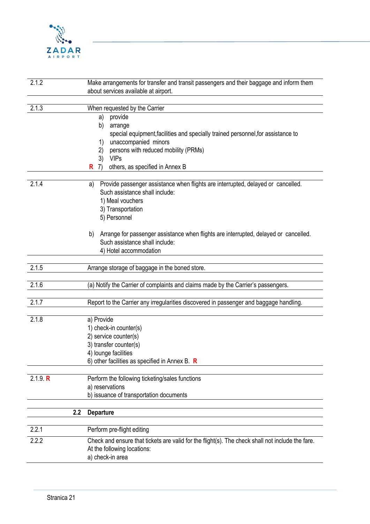

| 2.1.2          | Make arrangements for transfer and transit passengers and their baggage and inform them<br>about services available at airport.                                                                                                                                                                                                             |
|----------------|---------------------------------------------------------------------------------------------------------------------------------------------------------------------------------------------------------------------------------------------------------------------------------------------------------------------------------------------|
| 2.1.3          | When requested by the Carrier<br>provide<br>a)<br>b)<br>arrange<br>special equipment, facilities and specially trained personnel, for assistance to<br>unaccompanied minors<br>1)<br>persons with reduced mobility (PRMs)<br>2)<br><b>VIPs</b><br>3)<br>others, as specified in Annex B<br>R<br>7)                                          |
| 2.1.4          | Provide passenger assistance when flights are interrupted, delayed or cancelled.<br>a)<br>Such assistance shall include:<br>1) Meal vouchers<br>3) Transportation<br>5) Personnel<br>Arrange for passenger assistance when flights are interrupted, delayed or cancelled.<br>b)<br>Such assistance shall include:<br>4) Hotel accommodation |
| 2.1.5          | Arrange storage of baggage in the boned store.                                                                                                                                                                                                                                                                                              |
| 2.1.6          | (a) Notify the Carrier of complaints and claims made by the Carrier's passengers.                                                                                                                                                                                                                                                           |
| 2.1.7          | Report to the Carrier any irregularities discovered in passenger and baggage handling.                                                                                                                                                                                                                                                      |
| 2.1.8          | a) Provide<br>1) check-in counter(s)<br>2) service counter(s)<br>3) transfer counter(s)<br>4) lounge facilities<br>6) other facilities as specified in Annex B. $\,$ R                                                                                                                                                                      |
| 2.1.9 R        | Perform the following ticketing/sales functions<br>a) reservations<br>b) issuance of transportation documents                                                                                                                                                                                                                               |
|                | 2.2<br><b>Departure</b>                                                                                                                                                                                                                                                                                                                     |
| 2.2.1<br>2.2.2 | Perform pre-flight editing<br>Check and ensure that tickets are valid for the flight(s). The check shall not include the fare.<br>At the following locations:<br>a) check-in area                                                                                                                                                           |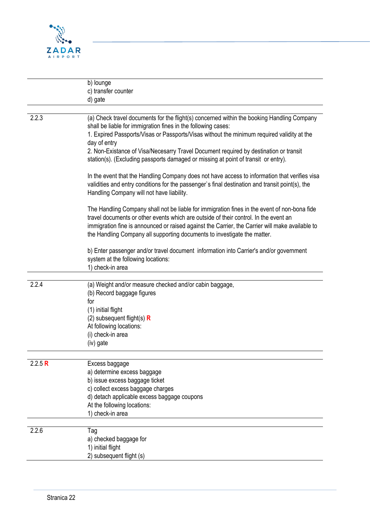

|         | b) lounge<br>c) transfer counter<br>d) gate                                                                                                                                                                                                                                                                                                                                                                                                              |
|---------|----------------------------------------------------------------------------------------------------------------------------------------------------------------------------------------------------------------------------------------------------------------------------------------------------------------------------------------------------------------------------------------------------------------------------------------------------------|
| 2.2.3   | (a) Check travel documents for the flight(s) concerned within the booking Handling Company<br>shall be liable for immigration fines in the following cases:<br>1. Expired Passports/Visas or Passports/Visas without the minimum required validity at the<br>day of entry<br>2. Non-Existance of Visa/Necesarry Travel Document required by destination or transit<br>station(s). (Excluding passports damaged or missing at point of transit or entry). |
|         | In the event that the Handling Company does not have access to information that verifies visa<br>validities and entry conditions for the passenger's final destination and transit point(s), the<br>Handling Company will not have liability.                                                                                                                                                                                                            |
|         | The Handling Company shall not be liable for immigration fines in the event of non-bona fide<br>travel documents or other events which are outside of their control. In the event an<br>immigration fine is announced or raised against the Carrier, the Carrier will make available to<br>the Handling Company all supporting documents to investigate the matter.                                                                                      |
|         | b) Enter passenger and/or travel document information into Carrier's and/or government<br>system at the following locations:<br>1) check-in area                                                                                                                                                                                                                                                                                                         |
| 2.2.4   | (a) Weight and/or measure checked and/or cabin baggage,<br>(b) Record baggage figures<br>for<br>(1) initial flight<br>(2) subsequent flight(s) $\bf{R}$<br>At following locations:<br>(i) check-in area<br>(iv) gate                                                                                                                                                                                                                                     |
| 2.2.5 R | Excess baggage<br>a) determine excess baggage<br>b) issue excess baggage ticket<br>c) collect excess baggage charges<br>d) detach applicable excess baggage coupons<br>At the following locations:<br>1) check-in area                                                                                                                                                                                                                                   |
| 2.2.6   | Tag<br>a) checked baggage for<br>1) initial flight<br>2) subsequent flight (s)                                                                                                                                                                                                                                                                                                                                                                           |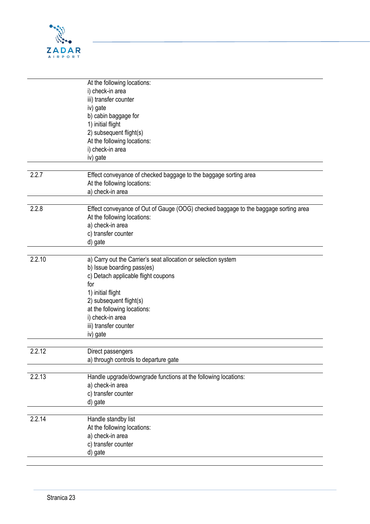

|        | At the following locations:                                                         |
|--------|-------------------------------------------------------------------------------------|
|        | i) check-in area                                                                    |
|        | iii) transfer counter                                                               |
|        | iv) gate                                                                            |
|        | b) cabin baggage for                                                                |
|        | 1) initial flight                                                                   |
|        | 2) subsequent flight(s)                                                             |
|        | At the following locations:                                                         |
|        |                                                                                     |
|        | i) check-in area                                                                    |
|        | iv) gate                                                                            |
| 2.2.7  |                                                                                     |
|        | Effect conveyance of checked baggage to the baggage sorting area                    |
|        | At the following locations:                                                         |
|        | a) check-in area                                                                    |
|        |                                                                                     |
| 2.2.8  | Effect conveyance of Out of Gauge (OOG) checked baggage to the baggage sorting area |
|        | At the following locations:                                                         |
|        | a) check-in area                                                                    |
|        | c) transfer counter                                                                 |
|        | d) gate                                                                             |
|        |                                                                                     |
| 2.2.10 | a) Carry out the Carrier's seat allocation or selection system                      |
|        | b) Issue boarding pass(es)                                                          |
|        | c) Detach applicable flight coupons                                                 |
|        | for                                                                                 |
|        | 1) initial flight                                                                   |
|        | 2) subsequent flight(s)                                                             |
|        | at the following locations:                                                         |
|        | i) check-in area                                                                    |
|        | iii) transfer counter                                                               |
|        | iv) gate                                                                            |
|        |                                                                                     |
| 2.2.12 | Direct passengers                                                                   |
|        |                                                                                     |
|        | a) through controls to departure gate                                               |
| 2.2.13 | Handle upgrade/downgrade functions at the following locations:                      |
|        | a) check-in area                                                                    |
|        |                                                                                     |
|        | c) transfer counter                                                                 |
|        | d) gate                                                                             |
|        |                                                                                     |
| 2.2.14 | Handle standby list                                                                 |
|        | At the following locations:                                                         |
|        | a) check-in area                                                                    |
|        | c) transfer counter                                                                 |
|        | d) gate                                                                             |
|        |                                                                                     |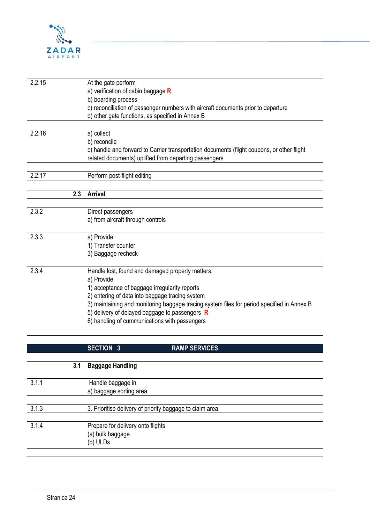

| 2.2.15 | At the gate perform                                                                        |
|--------|--------------------------------------------------------------------------------------------|
|        | a) verification of cabin baggage R                                                         |
|        | b) boarding process                                                                        |
|        | c) reconciliation of passenger numbers with aircraft documents prior to departure          |
|        | d) other gate functions, as specified in Annex B                                           |
|        |                                                                                            |
| 2.2.16 | a) collect                                                                                 |
|        | b) reconcile                                                                               |
|        | c) handle and forward to Carrier transportation documents (flight coupons, or other flight |
|        | related documents) uplifted from departing passengers                                      |
|        |                                                                                            |
| 2.2.17 | Perform post-flight editing                                                                |
|        |                                                                                            |
|        | 2.3<br><b>Arrival</b>                                                                      |
|        |                                                                                            |
| 2.3.2  | Direct passengers                                                                          |
|        | a) from aircraft through controls                                                          |
|        |                                                                                            |
| 2.3.3  | a) Provide                                                                                 |
|        | 1) Transfer counter                                                                        |
|        | 3) Baggage recheck                                                                         |
|        |                                                                                            |
| 2.3.4  | Handle lost, found and damaged property matters.                                           |
|        | a) Provide                                                                                 |
|        | 1) acceptance of baggage irregularity reports                                              |
|        | 2) entering of data into baggage tracing system                                            |
|        | 3) maintaining and monitoring baggage tracing system files for period specified in Annex B |
|        | 5) delivery of delayed baggage to passengers R                                             |
|        | 6) handling of cummunications with passengers                                              |
|        |                                                                                            |

|       |     | <b>SECTION 3</b>                                         | <b>RAMP SERVICES</b> |
|-------|-----|----------------------------------------------------------|----------------------|
|       |     |                                                          |                      |
|       | 3.1 | <b>Baggage Handling</b>                                  |                      |
| 3.1.1 |     | Handle baggage in                                        |                      |
|       |     | a) baggage sorting area                                  |                      |
| 3.1.3 |     | 3. Prioritise delivery of priority baggage to claim area |                      |
|       |     |                                                          |                      |
| 3.1.4 |     | Prepare for delivery onto flights<br>(a) bulk baggage    |                      |
|       |     | (b) ULDs                                                 |                      |
|       |     |                                                          |                      |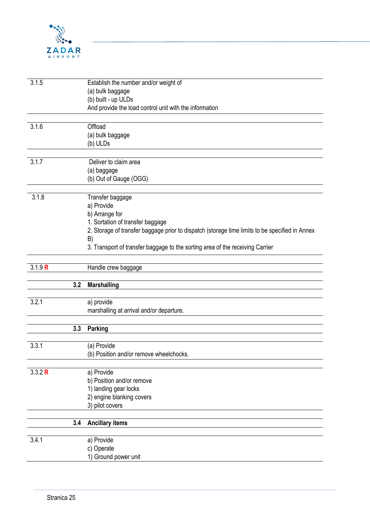

| 3.1.5   | Establish the number and/or weight of                                                          |
|---------|------------------------------------------------------------------------------------------------|
|         | (a) bulk baggage                                                                               |
|         | (b) built - up ULDs                                                                            |
|         | And provide the load control unit with the information                                         |
| 3.1.6   | Offload                                                                                        |
|         | (a) bulk baggage                                                                               |
|         | (b) ULDs                                                                                       |
|         |                                                                                                |
| 3.1.7   | Deliver to claim area                                                                          |
|         | (a) baggage                                                                                    |
|         | (b) Out of Gauge (OGG)                                                                         |
| 3.1.8   | Transfer baggage                                                                               |
|         | a) Provide                                                                                     |
|         | b) Arrange for                                                                                 |
|         | 1. Sortation of transfer baggage                                                               |
|         | 2. Storage of transfer baggage prior to dispatch (storage time limits to be specified in Annex |
|         | B)                                                                                             |
|         | 3. Transport of transfer baggage to the sorting area of the receiving Carrier                  |
| 3.1.9 R | Handle crew baggage                                                                            |
|         |                                                                                                |
| 3.2     | <b>Marshalling</b>                                                                             |
| 3.2.1   | a) provide                                                                                     |
|         | marshalling at arrival and/or departure.                                                       |
|         |                                                                                                |
| 3.3     | <b>Parking</b>                                                                                 |
|         |                                                                                                |
| 3.3.1   | (a) Provide                                                                                    |
|         | (b) Position and/or remove wheelchocks.                                                        |
| 3.3.2 R | a) Provide                                                                                     |
|         | b) Position and/or remove                                                                      |
|         | 1) landing gear locks                                                                          |
|         | 2) engine blanking covers                                                                      |
|         | 3) pilot covers                                                                                |
|         |                                                                                                |
|         |                                                                                                |
| 3.4     | <b>Ancillary items</b>                                                                         |
| 3.4.1   | a) Provide                                                                                     |
|         | c) Operate<br>1) Ground power unit                                                             |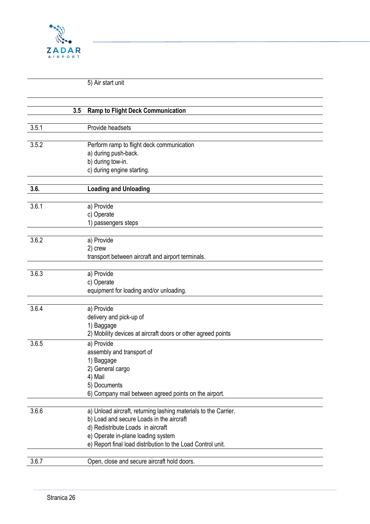

5) Air start unit

|       | <b>Ramp to Flight Deck Communication</b><br>3.5                 |
|-------|-----------------------------------------------------------------|
| 3.5.1 | Provide headsets                                                |
|       |                                                                 |
| 3.5.2 | Perform ramp to flight deck communication                       |
|       | a) during push-back.                                            |
|       | b) during tow-in.                                               |
|       | c) during engine starting.                                      |
|       |                                                                 |
| 3.6.  | <b>Loading and Unloading</b>                                    |
|       |                                                                 |
| 3.6.1 | a) Provide                                                      |
|       | c) Operate                                                      |
|       | 1) passengers steps                                             |
|       |                                                                 |
| 3.6.2 | a) Provide                                                      |
|       | 2) crew                                                         |
|       | transport between aircraft and airport terminals.               |
|       |                                                                 |
| 3.6.3 | a) Provide                                                      |
|       | c) Operate                                                      |
|       | equipment for loading and/or unloading.                         |
| 3.6.4 | a) Provide                                                      |
|       | delivery and pick-up of                                         |
|       | 1) Baggage                                                      |
|       | 2) Mobility devices at aircraft doors or other agreed points    |
| 3.6.5 | a) Provide                                                      |
|       | assembly and transport of                                       |
|       | 1) Baggage                                                      |
|       | 2) General cargo                                                |
|       | 4) Mail                                                         |
|       | 5) Documents                                                    |
|       | 6) Company mail between agreed points on the airport.           |
|       |                                                                 |
| 3.6.6 | a) Unload aircraft, returning lashing materials to the Carrier. |
|       | b) Load and secure Loads in the aircraft                        |
|       | d) Redistribute Loads in aircraft                               |
|       | e) Operate in-plane loading system                              |
|       | e) Report final load distribution to the Load Control unit.     |
|       |                                                                 |
| 3.6.7 | Open, close and secure aircraft hold doors.                     |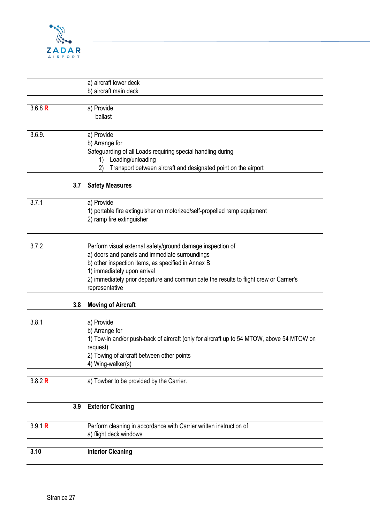

|         |     | a) aircraft lower deck                                                                    |
|---------|-----|-------------------------------------------------------------------------------------------|
|         |     | b) aircraft main deck                                                                     |
|         |     |                                                                                           |
| 3.6.8 R |     | a) Provide<br>ballast                                                                     |
|         |     |                                                                                           |
| 3.6.9.  |     | a) Provide                                                                                |
|         |     | b) Arrange for                                                                            |
|         |     | Safeguarding of all Loads requiring special handling during                               |
|         |     | Loading/unloading<br>1)                                                                   |
|         |     | Transport between aircraft and designated point on the airport<br>(2)                     |
|         | 3.7 | <b>Safety Measures</b>                                                                    |
| 3.7.1   |     | a) Provide                                                                                |
|         |     | 1) portable fire extinguisher on motorized/self-propelled ramp equipment                  |
|         |     | 2) ramp fire extinguisher                                                                 |
|         |     |                                                                                           |
| 3.7.2   |     | Perform visual external safety/ground damage inspection of                                |
|         |     | a) doors and panels and immediate surroundings                                            |
|         |     | b) other inspection items, as specified in Annex B<br>1) immediately upon arrival         |
|         |     | 2) immediately prior departure and communicate the results to flight crew or Carrier's    |
|         |     | representative                                                                            |
|         |     |                                                                                           |
|         | 3.8 | <b>Moving of Aircraft</b>                                                                 |
| 3.8.1   |     | a) Provide                                                                                |
|         |     | b) Arrange for                                                                            |
|         |     | 1) Tow-in and/or push-back of aircraft (only for aircraft up to 54 MTOW, above 54 MTOW on |
|         |     | request)                                                                                  |
|         |     | 2) Towing of aircraft between other points                                                |
|         |     | 4) Wing-walker(s)                                                                         |
| 3.8.2 R |     | a) Towbar to be provided by the Carrier.                                                  |
|         |     |                                                                                           |
|         | 3.9 | <b>Exterior Cleaning</b>                                                                  |
| 3.9.1 R |     | Perform cleaning in accordance with Carrier written instruction of                        |
|         |     | a) flight deck windows                                                                    |
| 3.10    |     |                                                                                           |
|         |     | <b>Interior Cleaning</b>                                                                  |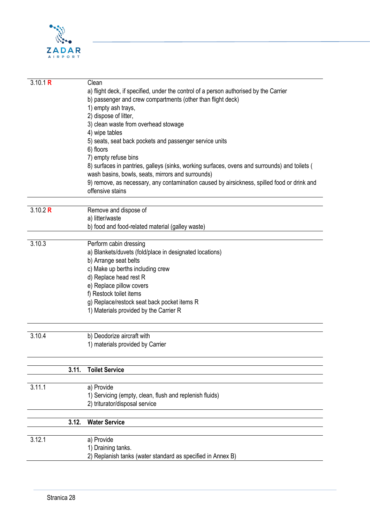

| 3.10.1 R |       | Clean                                                                                         |
|----------|-------|-----------------------------------------------------------------------------------------------|
|          |       | a) flight deck, if specified, under the control of a person authorised by the Carrier         |
|          |       | b) passenger and crew compartments (other than flight deck)                                   |
|          |       | 1) empty ash trays,                                                                           |
|          |       | 2) dispose of litter,                                                                         |
|          |       | 3) clean waste from overhead stowage                                                          |
|          |       |                                                                                               |
|          |       | 4) wipe tables                                                                                |
|          |       | 5) seats, seat back pockets and passenger service units                                       |
|          |       | 6) floors                                                                                     |
|          |       | 7) empty refuse bins                                                                          |
|          |       | 8) surfaces in pantries, galleys (sinks, working surfaces, ovens and surrounds) and toilets ( |
|          |       | wash basins, bowls, seats, mirrors and surrounds)                                             |
|          |       | 9) remove, as necessary, any contamination caused by airsickness, spilled food or drink and   |
|          |       | offensive stains                                                                              |
| 3.10.2 R |       | Remove and dispose of                                                                         |
|          |       | a) litter/waste                                                                               |
|          |       |                                                                                               |
|          |       | b) food and food-related material (galley waste)                                              |
| 3.10.3   |       | Perform cabin dressing                                                                        |
|          |       | a) Blankets/duvets (fold/place in designated locations)                                       |
|          |       | b) Arrange seat belts                                                                         |
|          |       | c) Make up berths including crew                                                              |
|          |       | d) Replace head rest R                                                                        |
|          |       | e) Replace pillow covers                                                                      |
|          |       | f) Restock toilet items                                                                       |
|          |       | g) Replace/restock seat back pocket items R                                                   |
|          |       | 1) Materials provided by the Carrier R                                                        |
|          |       |                                                                                               |
|          |       |                                                                                               |
| 3.10.4   |       | b) Deodorize aircraft with                                                                    |
|          |       | 1) materials provided by Carrier                                                              |
|          |       |                                                                                               |
|          | 3.11. | <b>Toilet Service</b>                                                                         |
| 3.11.1   |       | a) Provide                                                                                    |
|          |       | 1) Servicing (empty, clean, flush and replenish fluids)                                       |
|          |       | 2) triturator/disposal service                                                                |
|          |       |                                                                                               |
|          | 3.12. | <b>Water Service</b>                                                                          |
|          |       |                                                                                               |
| 3.12.1   |       | a) Provide                                                                                    |
|          |       | 1) Draining tanks.                                                                            |
|          |       | 2) Replanish tanks (water standard as specified in Annex B)                                   |
|          |       |                                                                                               |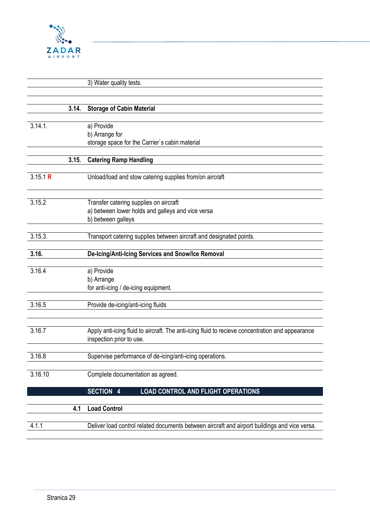

## 3) Water quality tests.

|          | 3.14. | <b>Storage of Cabin Material</b>                                                                 |
|----------|-------|--------------------------------------------------------------------------------------------------|
|          |       |                                                                                                  |
| 3.14.1.  |       | a) Provide                                                                                       |
|          |       | b) Arrange for                                                                                   |
|          |       | storage space for the Carrier's cabin material                                                   |
|          | 3.15. | <b>Catering Ramp Handling</b>                                                                    |
|          |       |                                                                                                  |
| 3.15.1 R |       | Unload/load and stow catering supplies from/on aircraft                                          |
| 3.15.2   |       | Transfer catering supplies on aircraft                                                           |
|          |       | a) between lower holds and galleys and vice versa                                                |
|          |       | b) between galleys                                                                               |
|          |       |                                                                                                  |
| 3.15.3.  |       | Transport catering supplies between aircraft and designated points.                              |
|          |       |                                                                                                  |
| 3.16.    |       | De-Icing/Anti-Icing Services and Snow/Ice Removal                                                |
|          |       |                                                                                                  |
| 3.16.4   |       | a) Provide                                                                                       |
|          |       | b) Arrange                                                                                       |
|          |       | for anti-icing / de-icing equipment.                                                             |
|          |       |                                                                                                  |
| 3.16.5   |       | Provide de-icing/anti-icing fluids                                                               |
|          |       |                                                                                                  |
| 3.16.7   |       | Apply anti-icing fluid to aircraft. The anti-icing fluid to recieve concentration and appearance |
|          |       | inspection prior to use.                                                                         |
|          |       |                                                                                                  |
| 3.16.8   |       | Supervise performance of de-icing/anti-icing operations.                                         |
|          |       |                                                                                                  |
| 3.16.10  |       | Complete documentation as agreed.                                                                |
|          |       |                                                                                                  |
|          |       | <b>SECTION 4</b><br><b>LOAD CONTROL AND FLIGHT OPERATIONS</b>                                    |
|          |       | <b>Load Control</b>                                                                              |
|          | 4.1   |                                                                                                  |
| 4.1.1    |       | Deliver load control related documents between aircraft and airport buildings and vice versa.    |
|          |       |                                                                                                  |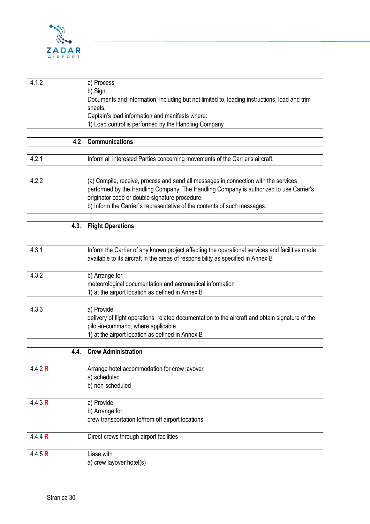

| 4.1.2   |      | a) Process                                                                                      |
|---------|------|-------------------------------------------------------------------------------------------------|
|         |      | b) Sign                                                                                         |
|         |      | Documents and information, including but not limited to, loading instructions, load and trim    |
|         |      | sheets,                                                                                         |
|         |      | Captain's load information and manifests where:                                                 |
|         |      | 1) Load control is performed by the Handling Company                                            |
|         |      |                                                                                                 |
|         | 4.2  | Communications                                                                                  |
| 4.2.1   |      |                                                                                                 |
|         |      | Inform all interested Parties concerning movements of the Carrier's aircraft.                   |
|         |      |                                                                                                 |
| 4.2.2   |      | (a) Compile, receive, process and send all messages in connection with the services             |
|         |      | performed by the Handling Company. The Handling Company is authorized to use Carrier's          |
|         |      | originator code or double signature procedure.                                                  |
|         |      | b) Inform the Carrier's representative of the contents of such messages.                        |
|         |      |                                                                                                 |
|         | 4.3. | <b>Flight Operations</b>                                                                        |
|         |      |                                                                                                 |
| 4.3.1   |      | Inform the Carrier of any known project affecting the operational services and facilities made  |
|         |      | available to its aircraft in the areas of responsibility as specified in Annex B                |
|         |      |                                                                                                 |
| 4.3.2   |      | b) Arrange for                                                                                  |
|         |      | meteorological documentation and aeronautical information                                       |
|         |      | 1) at the airport location as defined in Annex B                                                |
|         |      |                                                                                                 |
| 4.3.3   |      | a) Provide                                                                                      |
|         |      | delivery of flight operations related documentation to the aircraft and obtain signature of the |
|         |      | pilot-in-command, where applicable                                                              |
|         |      | 1) at the airport location as defined in Annex B                                                |
|         | 4.4. | <b>Crew Administration</b>                                                                      |
|         |      |                                                                                                 |
| 4.4.2 R |      | Arrange hotel accommodation for crew layover                                                    |
|         |      | a) scheduled                                                                                    |
|         |      | b) non-scheduled                                                                                |
|         |      |                                                                                                 |
| 4.4.3 R |      | a) Provide                                                                                      |
|         |      | b) Arrange for                                                                                  |
|         |      | crew transportation to/from off airport locations                                               |
|         |      |                                                                                                 |
| 4.4.4 R |      | Direct crews through airport facilities                                                         |
| 4.4.5 R |      | Liase with                                                                                      |
|         |      | a) crew layover hotel(s)                                                                        |
|         |      |                                                                                                 |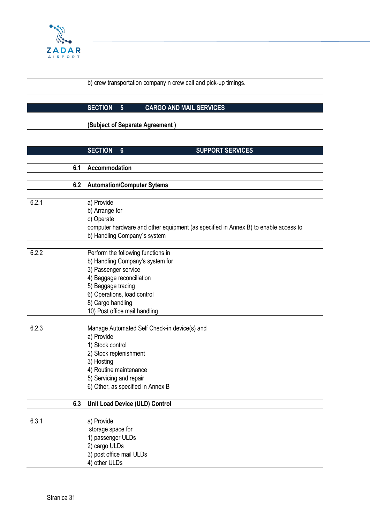

b) crew transportation company n crew call and pick-up timings.

## **SECTION 5 CARGO AND MAIL SERVICES**

**(Subject of Separate Agreement )**

|       |     | <b>SECTION</b><br>$6\phantom{1}$   | <b>SUPPORT SERVICES</b>                                                             |
|-------|-----|------------------------------------|-------------------------------------------------------------------------------------|
|       |     |                                    |                                                                                     |
|       | 6.1 | Accommodation                      |                                                                                     |
|       |     |                                    |                                                                                     |
|       | 6.2 | <b>Automation/Computer Sytems</b>  |                                                                                     |
|       |     |                                    |                                                                                     |
| 6.2.1 |     | a) Provide                         |                                                                                     |
|       |     | b) Arrange for                     |                                                                                     |
|       |     | c) Operate                         |                                                                                     |
|       |     |                                    | computer hardware and other equipment (as specified in Annex B) to enable access to |
|       |     | b) Handling Company's system       |                                                                                     |
| 6.2.2 |     | Perform the following functions in |                                                                                     |
|       |     | b) Handling Company's system for   |                                                                                     |
|       |     | 3) Passenger service               |                                                                                     |
|       |     | 4) Baggage reconciliation          |                                                                                     |
|       |     | 5) Baggage tracing                 |                                                                                     |
|       |     | 6) Operations, load control        |                                                                                     |
|       |     | 8) Cargo handling                  |                                                                                     |
|       |     | 10) Post office mail handling      |                                                                                     |
|       |     |                                    |                                                                                     |
| 6.2.3 |     |                                    | Manage Automated Self Check-in device(s) and                                        |
|       |     | a) Provide                         |                                                                                     |
|       |     | 1) Stock control                   |                                                                                     |
|       |     | 2) Stock replenishment             |                                                                                     |
|       |     | 3) Hosting                         |                                                                                     |
|       |     | 4) Routine maintenance             |                                                                                     |
|       |     | 5) Servicing and repair            |                                                                                     |
|       |     | 6) Other, as specified in Annex B  |                                                                                     |
|       |     | Unit Load Device (ULD) Control     |                                                                                     |
|       | 6.3 |                                    |                                                                                     |
| 6.3.1 |     | a) Provide                         |                                                                                     |
|       |     | storage space for                  |                                                                                     |
|       |     | 1) passenger ULDs                  |                                                                                     |
|       |     | 2) cargo ULDs                      |                                                                                     |
|       |     | 3) post office mail ULDs           |                                                                                     |
|       |     | 4) other ULDs                      |                                                                                     |
|       |     |                                    |                                                                                     |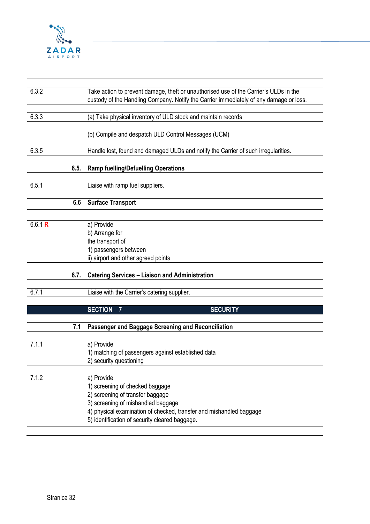

| 6.3.2   |      | Take action to prevent damage, theft or unauthorised use of the Carrier's ULDs in the<br>custody of the Handling Company. Notify the Carrier immediately of any damage or loss.                                                                  |
|---------|------|--------------------------------------------------------------------------------------------------------------------------------------------------------------------------------------------------------------------------------------------------|
| 6.3.3   |      | (a) Take physical inventory of ULD stock and maintain records                                                                                                                                                                                    |
|         |      | (b) Compile and despatch ULD Control Messages (UCM)                                                                                                                                                                                              |
| 6.3.5   |      | Handle lost, found and damaged ULDs and notify the Carrier of such irregularities.                                                                                                                                                               |
|         | 6.5. | <b>Ramp fuelling/Defuelling Operations</b>                                                                                                                                                                                                       |
| 6.5.1   |      | Liaise with ramp fuel suppliers.                                                                                                                                                                                                                 |
|         | 6.6  | <b>Surface Transport</b>                                                                                                                                                                                                                         |
| 6.6.1 R |      | a) Provide<br>b) Arrange for<br>the transport of<br>1) passengers between<br>ii) airport and other agreed points                                                                                                                                 |
|         | 6.7. | <b>Catering Services - Liaison and Administration</b>                                                                                                                                                                                            |
| 6.7.1   |      | Liaise with the Carrier's catering supplier.                                                                                                                                                                                                     |
|         |      | <b>SECTION</b><br><b>SECURITY</b><br>7                                                                                                                                                                                                           |
|         | 7.1  | Passenger and Baggage Screening and Reconciliation                                                                                                                                                                                               |
| 7.1.1   |      | a) Provide<br>1) matching of passengers against established data<br>2) security questioning                                                                                                                                                      |
| 7.1.2   |      | a) Provide<br>1) screening of checked baggage<br>2) screening of transfer baggage<br>3) screening of mishandled baggage<br>4) physical examination of checked, transfer and mishandled baggage<br>5) identification of security cleared baggage. |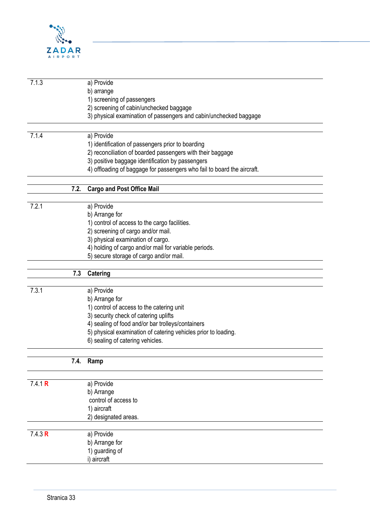

| 7.1.3   |      | a) Provide                                                              |
|---------|------|-------------------------------------------------------------------------|
|         |      | b) arrange                                                              |
|         |      | 1) screening of passengers                                              |
|         |      | 2) screening of cabin/unchecked baggage                                 |
|         |      |                                                                         |
|         |      | 3) physical examination of passengers and cabin/unchecked baggage       |
| 7.1.4   |      | a) Provide                                                              |
|         |      |                                                                         |
|         |      | 1) identification of passengers prior to boarding                       |
|         |      | 2) reconciliation of boarded passengers with their baggage              |
|         |      | 3) positive baggage identification by passengers                        |
|         |      | 4) offloading of baggage for passengers who fail to board the aircraft. |
|         |      |                                                                         |
|         | 7.2. | <b>Cargo and Post Office Mail</b>                                       |
| 7.2.1   |      | a) Provide                                                              |
|         |      |                                                                         |
|         |      | b) Arrange for                                                          |
|         |      | 1) control of access to the cargo facilities.                           |
|         |      | 2) screening of cargo and/or mail.                                      |
|         |      | 3) physical examination of cargo.                                       |
|         |      | 4) holding of cargo and/or mail for variable periods.                   |
|         |      | 5) secure storage of cargo and/or mail.                                 |
|         |      |                                                                         |
|         | 7.3  | Catering                                                                |
| 7.3.1   |      |                                                                         |
|         |      | a) Provide                                                              |
|         |      | b) Arrange for                                                          |
|         |      | 1) control of access to the catering unit                               |
|         |      | 3) security check of catering uplifts                                   |
|         |      | 4) sealing of food and/or bar trolleys/containers                       |
|         |      | 5) physical examination of catering vehicles prior to loading.          |
|         |      | 6) sealing of catering vehicles.                                        |
|         |      |                                                                         |
|         | 7.4. | Ramp                                                                    |
| 7.4.1 R |      | a) Provide                                                              |
|         |      |                                                                         |
|         |      | b) Arrange                                                              |
|         |      | control of access to                                                    |
|         |      | 1) aircraft                                                             |
|         |      | 2) designated areas.                                                    |
| 7.4.3 R |      | a) Provide                                                              |
|         |      |                                                                         |
|         |      | b) Arrange for                                                          |
|         |      | 1) guarding of                                                          |
|         |      | i) aircraft                                                             |
|         |      |                                                                         |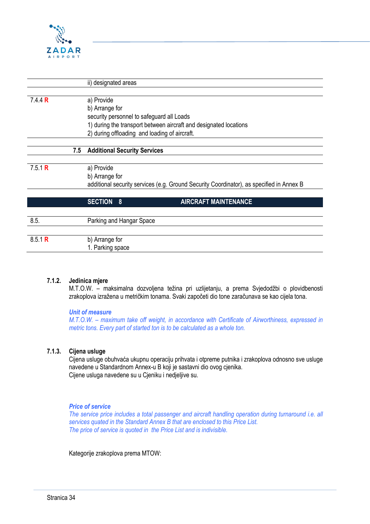

|                |     | ii) designated areas                                                                     |
|----------------|-----|------------------------------------------------------------------------------------------|
|                |     |                                                                                          |
| 7.4.4 <b>R</b> |     | a) Provide                                                                               |
|                |     | b) Arrange for                                                                           |
|                |     | security personnel to safeguard all Loads                                                |
|                |     | 1) during the transport between aircraft and designated locations                        |
|                |     | 2) during offloading and loading of aircraft.                                            |
|                |     |                                                                                          |
|                | 7.5 | <b>Additional Security Services</b>                                                      |
|                |     |                                                                                          |
| 7.5.1 R        |     | a) Provide                                                                               |
|                |     | b) Arrange for                                                                           |
|                |     | additional security services (e.g. Ground Security Coordinator), as specified in Annex B |
|                |     |                                                                                          |
|                |     | <b>AIRCRAFT MAINTENANCE</b><br><b>SECTION</b><br>8                                       |
|                |     |                                                                                          |
| 8.5.           |     | Parking and Hangar Space                                                                 |
|                |     |                                                                                          |
| 8.5.1 R        |     | b) Arrange for                                                                           |
|                |     | 1. Parking space                                                                         |
|                |     |                                                                                          |

#### **7.1.2. Jedinica mjere**

M.T.O.W. – maksimalna dozvoljena težina pri uzlijetanju, a prema Svjedodžbi o plovidbenosti zrakoplova izražena u metričkim tonama. Svaki započeti dio tone zaračunava se kao cijela tona.

#### *Unit of measure*

*M.T.O.W. – maximum take off weight, in accordance with Certificate of Airworthiness, expressed in metric tons. Every part of started ton is to be calculated as a whole ton.*

#### **7.1.3. Cijena usluge**

Cijena usluge obuhvaća ukupnu operaciju prihvata i otpreme putnika i zrakoplova odnosno sve usluge navedene u Standardnom Annex-u B koji je sastavni dio ovog cjenika. Cijene usluga navedene su u Cjeniku i nedjeljive su.

#### *Price of service*

*The service price includes a total passenger and aircraft handling operation during turnaround i.e. all services quated in the Standard Annex B that are enclosed to this Price List. The price of service is quoted in the Price List and is indivisible.*

Kategorije zrakoplova prema MTOW: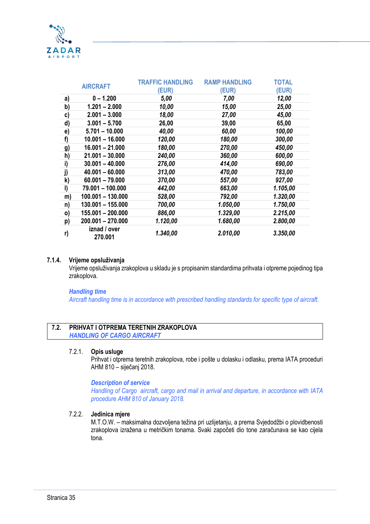

| <b>AIRCRAFT</b> |                         | <b>TRAFFIC HANDLING</b> | <b>RAMP HANDLING</b> | <b>TOTAL</b> |
|-----------------|-------------------------|-------------------------|----------------------|--------------|
|                 |                         | (EUR)                   | (EUR)                | (EUR)        |
| a)              | $0 - 1.200$             | 5,00                    | 7,00                 | 12,00        |
| b)              | $1.201 - 2.000$         | 10,00                   | 15,00                | 25,00        |
| c)              | $2.001 - 3.000$         | 18,00                   | 27,00                | 45,00        |
| d)              | $3.001 - 5.700$         | 26,00                   | 39,00                | 65,00        |
| e)              | $5.701 - 10.000$        | 40,00                   | 60,00                | 100,00       |
| f)              | $10.001 - 16.000$       | 120,00                  | 180,00               | 300,00       |
| g)              | $16.001 - 21.000$       | 180,00                  | 270,00               | 450,00       |
| h)              | $21.001 - 30.000$       | 240,00                  | 360,00               | 600,00       |
| i)              | $30.001 - 40.000$       | 276,00                  | 414,00               | 690,00       |
| j)              | $40.001 - 60.000$       | 313,00                  | 470,00               | 783,00       |
| k)              | $60.001 - 79.000$       | 370,00                  | 557,00               | 927,00       |
| I)              | 79.001 - 100.000        | 442,00                  | 663,00               | 1.105,00     |
| m)              | $100.001 - 130.000$     | 528,00                  | 792,00               | 1.320,00     |
| n)              | $130.001 - 155.000$     | 700,00                  | 1.050,00             | 1.750,00     |
| 0)              | 155.001 - 200.000       | 886,00                  | 1.329,00             | 2.215,00     |
| p)              | 200.001 - 270.000       | 1.120,00                | 1.680,00             | 2.800,00     |
| r)              | iznad / over<br>270.001 | 1.340,00                | 2.010,00             | 3.350,00     |

#### **7.1.4. Vrijeme opsluživanja**

Vrijeme opsluživanja zrakoplova u skladu je s propisanim standardima prihvata i otpreme pojedinog tipa zrakoplova.

#### *Handling time*

*Aircraft handling time is in accordance with prescribed handling standards for specific type of aircraft.*

#### **7.2. PRIHVAT I OTPREMA TERETNIH ZRAKOPLOVA** *HANDLING OF CARGO AIRCRAFT*

#### 7.2.1. **Opis usluge**

Prihvat i otprema teretnih zrakoplova, robe i pošte u dolasku i odlasku, prema IATA proceduri AHM 810 – siječanj 2018.

#### *Description of service*

*Handling of Cargo aircraft, cargo and mail in arrival and departure, in accordance with IATA procedure AHM 810 of January 2018.*

#### 7.2.2. **Jedinica mjere**

M.T.O.W. – maksimalna dozvoljena težina pri uzlijetanju, a prema Svjedodžbi o plovidbenosti zrakoplova izražena u metričkim tonama. Svaki započeti dio tone zaračunava se kao cijela tona.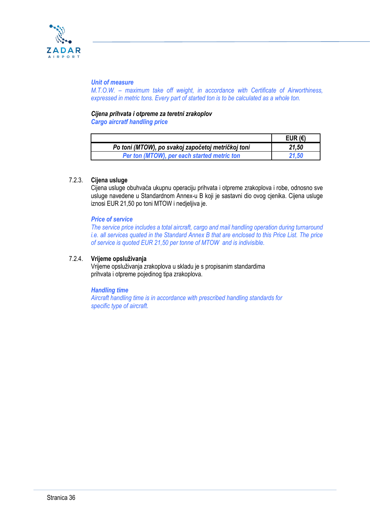

#### *Unit of measure*

*M.T.O.W. – maximum take off weight, in accordance with Certificate of Airworthiness, expressed in metric tons. Every part of started ton is to be calculated as a whole ton.*

# *Cijena prihvata i otpreme za teretni zrakoplov*

*Cargo aircratf handling price*

|                                                    | EUR $(\epsilon)$ |
|----------------------------------------------------|------------------|
| Po toni (MTOW), po svakoj započetoj metričkoj toni | 21,50            |
| Per ton (MTOW), per each started metric ton        | 21.50            |

#### 7.2.3. **Cijena usluge**

Cijena usluge obuhvaća ukupnu operaciju prihvata i otpreme zrakoplova i robe, odnosno sve usluge navedene u Standardnom Annex-u B koji je sastavni dio ovog cjenika. Cijena usluge iznosi EUR 21,50 po toni MTOW i nedjeljiva je.

#### *Price of service*

*The service price includes a total aircraft, cargo and mail handling operation during turnaround i.e. all services quated in the Standard Annex B that are enclosed to this Price List. The price of service is quoted EUR 21,50 per tonne of MTOW and is indivisible.*

#### 7.2.4. **Vrijeme opsluživanja**

Vrijeme opsluživanja zrakoplova u skladu je s propisanim standardima prihvata i otpreme pojedinog tipa zrakoplova.

#### *Handling time*

*Aircraft handling time is in accordance with prescribed handling standards for specific type of aircraft.*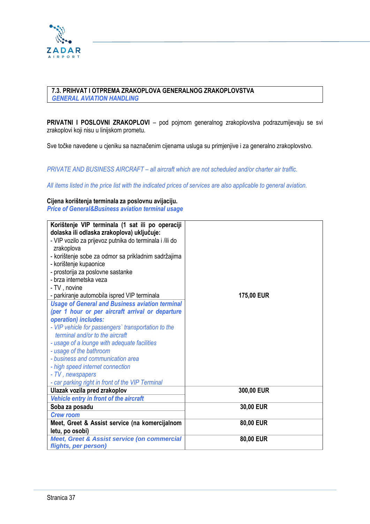

#### **7.3. PRIHVAT I OTPREMA ZRAKOPLOVA GENERALNOG ZRAKOPLOVSTVA** *GENERAL AVIATION HANDLING*

**PRIVATNI I POSLOVNI ZRAKOPLOVI** – pod pojmom generalnog zrakoplovstva podrazumijevaju se svi zrakoplovi koji nisu u linijskom prometu.

Sve točke navedene u cjeniku sa naznačenim cijenama usluga su primjenjive i za generalno zrakoplovstvo.

*PRIVATE AND BUSINESS AIRCRAFT – all aircraft which are not scheduled and/or charter air traffic.*

*All items listed in the price list with the indicated prices of services are also applicable to general aviation.*

#### **Cijena korištenja terminala za poslovnu avijaciju.**

*Price of General&Business aviation terminal usage*

| Korištenje VIP terminala (1 sat ili po operaciji        |            |
|---------------------------------------------------------|------------|
| dolaska ili odlaska zrakoplova) uključuje:              |            |
| - VIP vozilo za prijevoz putnika do terminala i /ili do |            |
| zrakoplova                                              |            |
| - korištenje sobe za odmor sa prikladnim sadržajima     |            |
| - korištenje kupaonice                                  |            |
| - prostorija za poslovne sastanke                       |            |
| - brza internetska veza                                 |            |
| - TV, novine                                            |            |
| - parkiranje automobila ispred VIP terminala            | 175,00 EUR |
| <b>Usage of General and Business aviation terminal</b>  |            |
| (per 1 hour or per aircraft arrival or departure        |            |
| operation) includes:                                    |            |
| - VIP vehicle for passengers' transportation to the     |            |
| terminal and/or to the aircraft                         |            |
| - usage of a lounge with adequate facilities            |            |
| - usage of the bathroom                                 |            |
| - business and communication area                       |            |
| - high speed internet connection                        |            |
| - TV, newspapers                                        |            |
| - car parking right in front of the VIP Terminal        |            |
| Ulazak vozila pred zrakoplov                            | 300,00 EUR |
| Vehicle entry in front of the aircraft                  |            |
| Soba za posadu                                          | 30,00 EUR  |
| <b>Crew room</b>                                        |            |
| Meet, Greet & Assist service (na komercijalnom          | 80,00 EUR  |
| letu, po osobi)                                         |            |
| <b>Meet, Greet &amp; Assist service (on commercial</b>  | 80,00 EUR  |
| flights, per person)                                    |            |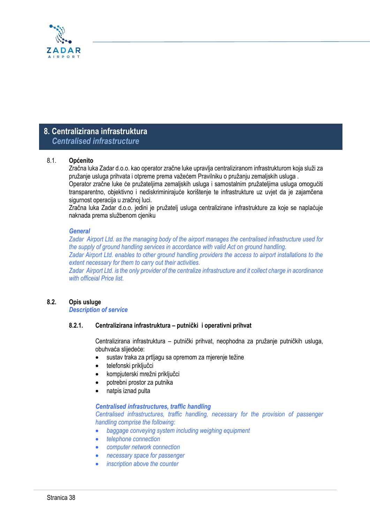

# **8. Centralizirana infrastruktura**  *Centralised infrastructure*

#### 8.1. **Općenito**

Zračna luka Zadar d.o.o. kao operator zračne luke upravlja centraliziranom infrastrukturom koja služi za pružanje usluga prihvata i otpreme prema važećem Pravilniku o pružanju zemaljskih usluga .

Operator zračne luke će pružateljima zemaljskih usluga i samostalnim pružateljima usluga omogućiti transparentno, objektivno i nediskriminirajuće korištenje te infrastrukture uz uvjet da je zajamčena sigurnost operacija u zračnoj luci.

Zračna luka Zadar d.o.o. jedini je pružatelj usluga centralizirane infrastrukture za koje se naplaćuje naknada prema službenom cjeniku

#### *General*

*Zadar Airport Ltd. as the managing body of the airport manages the centralised infrastructure used for the supply of ground handling services in accordance with valid Act on ground handling. Zadar Airport Ltd. enables to other ground handling providers the access to airport installations to the extent necessary for them to carry out their activities.* 

*Zadar Airport Ltd. is the only provider of the centralize infrastructure and it collect charge in acordinance with officeial Price list.*

#### **8.2. Opis usluge**

*Description of service*

#### **8.2.1. Centralizirana infrastruktura – putnički i operativni prihvat**

Centralizirana infrastruktura – putnički prihvat, neophodna za pružanje putničkih usluga, obuhvaća slijedeće:

- sustav traka za prtljagu sa opremom za mjerenje težine
- telefonski priključci
- kompjuterski mrežni priključci
- potrebni prostor za putnika
- natpis iznad pulta

#### *Centralised infrastructures, traffic handling*

*Centralised infrastructures, traffic handling, necessary for the provision of passenger handling comprise the following:*

- *baggage conveying system including weighing equipment*
- *telephone connection*
- *computer network connection*
- *necessary space for passenger*
- *inscription above the counter*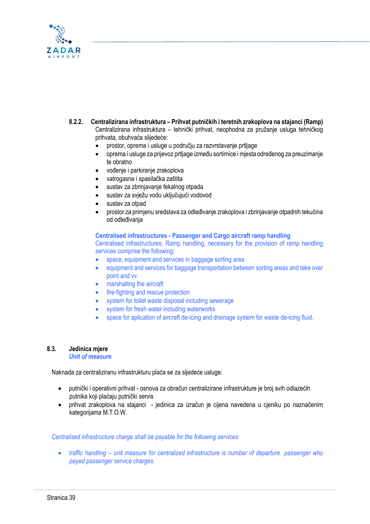

**8.2.2. Centralizirana infrastruktura – Prihvat putničkih i teretnih zrakoplova na stajanci (Ramp)** Centralizirana infrastruktura – tehnički prihvat, neophodna za pružanje usluga tehničkog prihvata, obuhvaća slijedeće: • prostor, oprema i usluge u području za razvrstavanje prtljage

- oprema i usluge za prijevoz prtljage između sortirnice i mjesta određenog za preuzimanje te obratno
- vođenje i parkiranje zrakoplova
- vatrogasna i spasilačka zaštita
- sustav za zbrinjavanje fekalnog otpada
- sustav za svježu vodu uključujući vodovod
- sustav za otpad
- prostor za primjenu sredstava za odleđivanje zrakoplova i zbrinjavanje otpadnih tekućina od odleđivanja

**Centralised infrastructures - Passenger and Cargo aircraft ramp handling** Centralised infrastructures, Ramp handling, necessary for the provision of ramp handling services comprise the following:

- space, equipment and services in baggage sorting area
- equipment and services for baggage transportation between sorting areas and take over point and vv.
- marshalling the aircraft
- fire-fighting and rescue protection
- system for toilet waste disposal including sewerage
- system for fresh water including waterworks
- space for aplication of aircraft de-icing and drainage system for waste de-icing fluid.

# **8.3. Jedinica mjere**

*Unit of measure*

Naknada za centraliziranu infrastrukturu plaća se za sljedeće usluge:

- putnički i operativni prihvat osnova za obračun centralizirane infrastrukture je broj svih odlazećih putnika koji plaćaju putnički servis
- prihvat zrakoplova na stajanci jedinica za izračun je cijena navedena u cjeniku po naznačenim kategorijama M.T.O.W.

 *Centralised infrastructure charge shall be payable for the following services:*

• *traffic handling – unit measure for centralized infrastructure is number of departure passenger who payed passenger service charges.*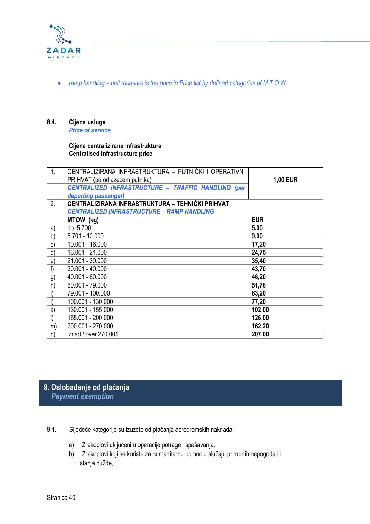

• *ramp handling – unit measure is the price in Price list by defined categories of M.T.O.W.*

#### **8.4. Cijena usluge** *Price of service*

#### **Cijena centralizirane infrastrukture Centralised infrastructure price**

| $\mathbf{1}$ . | CENTRALIZIRANA INFRASTRUKTURA - PUTNIČKI I OPERATIVNI     |                 |
|----------------|-----------------------------------------------------------|-----------------|
|                | PRIHVAT (po odlazećem putniku)                            | <b>1,00 EUR</b> |
|                | <b>CENTRALIZED INFRASTRUCTURE - TRAFFIC HANDLING (per</b> |                 |
|                | departing passenger)                                      |                 |
| 2.             | CENTRALIZIRANA INFRASTRUKTURA - TEHNIČKI PRIHVAT          |                 |
|                | <b>CENTRALIZED INFRASTRUCTURE - RAMP HANDLING</b>         |                 |
|                | MTOW (kg)                                                 | <b>EUR</b>      |
| a)             | do 5.700                                                  | 5,00            |
| b)             | 5.701 - 10.000                                            | 9,00            |
| $\mathsf{c}$   | 10.001 - 16.000                                           | 17,20           |
| d)             | 16.001 - 21.000                                           | 24,75           |
| e)             | 21.001 - 30.000                                           | 35,40           |
| f              | $30.001 - 40.000$                                         | 43,70           |
| g)             | 40.001 - 60.000                                           | 46,20           |
| h)             | 60.001 - 79.000                                           | 51,78           |
| i)             | 79.001 - 100.000                                          | 63,20           |
| j)             | 100.001 - 130.000                                         | 77,20           |
| $\mathsf{k}$   | 130.001 - 155.000                                         | 102,00          |
| $\vert$        | 155.001 - 200.000                                         | 126,00          |
| m)             | 200.001 - 270.000                                         | 162,20          |
| n)             | iznad / over 270.001                                      | 207,00          |

# **9. Oslobađanje od plaćanja**  *Payment exemption*

- 9.1. Sljedeće kategorije su izuzete od plaćanja aerodromskih naknada:
	- a) Zrakoplovi uključeni u operacije potrage i spašavanja,
	- b) Zrakoplovi koji se koriste za humanitarnu pomoć u slučaju prirodnih nepogoda ili stanja nužde,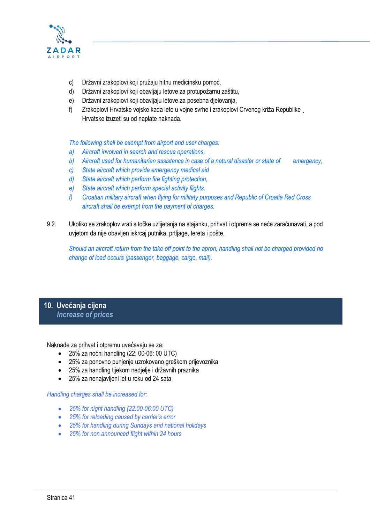

- c) Državni zrakoplovi koji pružaju hitnu medicinsku pomoć,
- d) Državni zrakoplovi koji obavljaju letove za protupožarnu zaštitu,
- e) Državni zrakoplovi koji obavljaju letove za posebna djelovanja,
- f) Zrakoplovi Hrvatske vojske kada lete u vojne svrhe i zrakoplovi Crvenog križa Republike ¸ Hrvatske izuzeti su od naplate naknada.

*The following shall be exempt from airport and user charges:* 

- *a) Aircraft involved in search and rescue operations,*
- *b) Aircraft used for humanitarian assistance in case of a natural disaster or state of emergency,*
- *c) State aircraft which provide emergency medical aid*
- *d) State aircraft which perform fire fighting protection,*
- *e) State aircraft which perform special activity flights.*
- *f) Croatian military aircraft when flying for militaty purposes and Republic of Croatia Red Cross aircraft shall be exempt from the payment of charges.*
- 9.2. Ukoliko se zrakoplov vrati s točke uzlijetanja na stajanku, prihvat i otprema se neće zaračunavati, a pod uvjetom da nije obavljen iskrcaj putnika, prtljage, tereta i pošte.

*Should an aircraft return from the take off point to the apron, handling shall not be charged provided no change of load occurs (passenger, baggage, cargo, mail).*

#### **10. Uvećanja cijena**  *Increase of prices*

Naknade za prihvat i otpremu uvećavaju se za:

- 25% za noćni handling (22: 00-06: 00 UTC)
- 25% za ponovno punjenje uzrokovano greškom prijevoznika
- 25% za handling tijekom nedjelje i državnih praznika
- 25% za nenajavljeni let u roku od 24 sata

*Handling charges shall be increased for:* 

- *25% for night handling (22:00-06:00 UTC)*
- *25% for reloading caused by carrier's error*
- *25% for handling during Sundays and national holidays*
- *25% for non announced flight within 24 hours*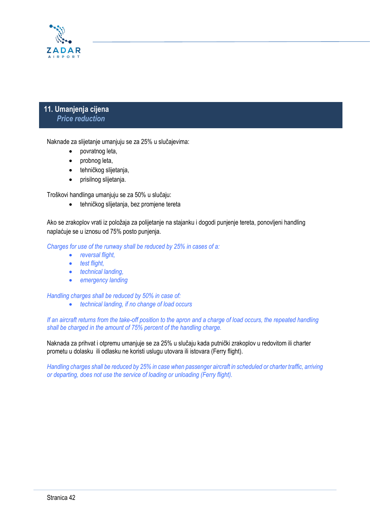

# **11. Umanjenja cijena**  *Price reduction*

Naknade za slijetanje umanjuju se za 25% u slučajevima:

- povratnog leta,
- probnog leta,
- tehničkog slijetanja,
- prisilnog slijetanja.

Troškovi handlinga umanjuju se za 50% u slučaju:

• tehničkog slijetanja, bez promjene tereta

Ako se zrakoplov vrati iz položaja za polijetanje na stajanku i dogodi punjenje tereta, ponovljeni handling naplaćuje se u iznosu od 75% posto punjenja.

*Charges for use of the runway shall be reduced by 25% in cases of a:* 

- *reversal flight,*
- *test flight,*
- *technical landing,*
- *emergency landing*

*Handling charges shall be reduced by 50% in case of:* 

• *technical landing, if no change of load occurs*

*If an aircraft returns from the take-off position to the apron and a charge of load occurs, the repeated handling shall be charged in the amount of 75% percent of the handling charge.*

Naknada za prihvat i otpremu umanjuje se za 25% u slučaju kada putnički zrakoplov u redovitom ili charter prometu u dolasku ili odlasku ne koristi uslugu utovara ili istovara (Ferry flight).

*Handling charges shall be reduced by 25% in case when passenger aircraft in scheduled or charter traffic, arriving or departing, does not use the service of loading or unloading (Ferry flight).*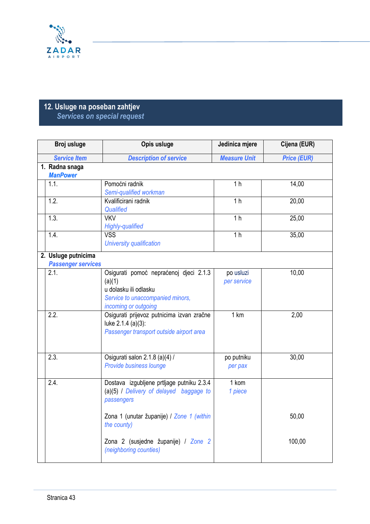

# **12. Usluge na poseban zahtjev**  *Services on special request*

| Broj usluge                       | Opis usluge                                                                                                                           | Jedinica mjere           | Cijena (EUR)       |  |
|-----------------------------------|---------------------------------------------------------------------------------------------------------------------------------------|--------------------------|--------------------|--|
| <b>Service Item</b>               | <b>Description of service</b>                                                                                                         | <b>Measure Unit</b>      | <b>Price (EUR)</b> |  |
| 1. Radna snaga<br><b>ManPower</b> |                                                                                                                                       |                          |                    |  |
| 1.1.                              | Pomoćni radnik<br>Semi-qualified workman                                                                                              | 1 <sub>h</sub>           | 14,00              |  |
| 1.2.                              | Kvalificirani radnik<br>Qualified                                                                                                     | 1 <sub>h</sub>           | 20,00              |  |
| 1.3.                              | <b>VKV</b><br><b>Highly-qualified</b>                                                                                                 | 1 <sub>h</sub>           | 25,00              |  |
| 1.4.                              | <b>VSS</b><br>University qualification                                                                                                | 1 <sub>h</sub>           | 35,00              |  |
| 2. Usluge putnicima               |                                                                                                                                       |                          |                    |  |
| <b>Passenger services</b>         |                                                                                                                                       |                          |                    |  |
| 2.1.                              | Osigurati pomoć nepraćenoj djeci 2.1.3<br>(a)(1)<br>u dolasku ili odlasku<br>Service to unaccompanied minors,<br>incoming or outgoing | po usluzi<br>per service | 10,00              |  |
| 2.2.                              | Osigurati prijevoz putnicima izvan zračne<br>luke 2.1.4 (a)(3):<br>Passenger transport outside airport area                           | 1 km                     | 2,00               |  |
| 2.3.                              | Osigurati salon 2.1.8 (a)(4) /<br>Provide business lounge                                                                             | po putniku<br>per pax    | 30,00              |  |
| 2.4.                              | Dostava izgubljene prtljage putniku 2.3.4<br>(a)(5) / Delivery of delayed baggage to<br>passengers                                    | 1 kom<br>1 piece         |                    |  |
|                                   | Zona 1 (unutar županije) / Zone 1 (within<br>the county)                                                                              |                          | 50,00              |  |
|                                   | Zona 2 (susjedne županije) / Zone 2<br>(neighboring counties)                                                                         |                          | 100,00             |  |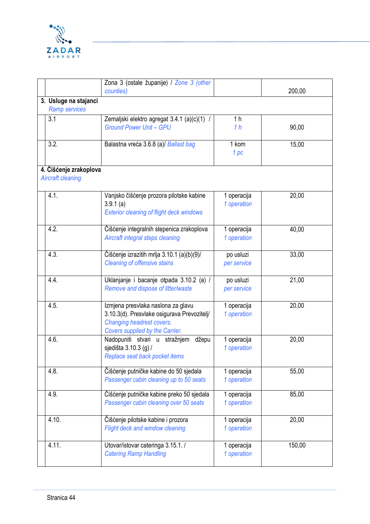

|                                                    | Zona 3 (ostale županije) / Zone 3 (other<br>counties)                                                                                             |                                  | 200,00 |
|----------------------------------------------------|---------------------------------------------------------------------------------------------------------------------------------------------------|----------------------------------|--------|
| 3. Usluge na stajanci<br><b>Ramp services</b>      |                                                                                                                                                   |                                  |        |
| 3.1                                                | Zemaljski elektro agregat 3.4.1 (a)(c)(1)<br><b>Ground Power Unit - GPU</b>                                                                       | 1 <sub>h</sub><br>1 <sub>h</sub> | 90,00  |
| 3.2.                                               | Balastna vreća 3.6.8 (a)/ Ballast bag                                                                                                             | 1 kom<br>1 pc                    | 15,00  |
| 4. Čišćenje zrakoplova<br><b>Aircraft cleaning</b> |                                                                                                                                                   |                                  |        |
| 4.1.                                               | Vanjsko čišćenje prozora pilotske kabine<br>3.9.1(a)<br><b>Exterior cleaning of flight deck windows</b>                                           | 1 operacija<br>1 operation       | 20,00  |
| 4.2.                                               | Čišćenje integralnih stepenica zrakoplova<br>Aircraft integral steps cleaning                                                                     | 1 operacija<br>1 operation       | 40,00  |
| 4.3.                                               | Čišćenje izrazitih mrlja 3.10.1 (a)(b)(9)/<br><b>Cleaning of offensive stains</b>                                                                 | po usluzi<br>per service         | 33,00  |
| 4.4.                                               | Uklanjanje i bacanje otpada 3.10.2 (a) /<br>Remove and dispose of litter/waste                                                                    | po usluzi<br>per service         | 21,00  |
| 4.5.                                               | Izmjena presvlaka naslona za glavu<br>3.10.3(d). Presvlake osigurava Prevozitelj/<br>Changing headrest covers.<br>Covers supplied by the Carrier. | 1 operacija<br>1 operation       | 20,00  |
| 4.6.                                               | Nadopuniti stvari u stražnjem džepu<br>sjedišta 3.10.3 (g) /<br>Replace seat back pocket items                                                    | 1 operacija<br>1 operation       | 20,00  |
| 4.8.                                               | Čišćenje putničke kabine do 50 sjedala<br>Passenger cabin cleaning up to 50 seats                                                                 | 1 operacija<br>1 operation       | 55,00  |
| 4.9.                                               | Čišćenje putničke kabine preko 50 sjedala<br>Passenger cabin cleaning over 50 seats                                                               | 1 operacija<br>1 operation       | 85,00  |
| 4.10.                                              | Čišćenje pilotske kabine i prozora<br>Flight deck and window cleaning                                                                             | 1 operacija<br>1 operation       | 20,00  |
| 4.11.                                              | Utovar/istovar cateringa 3.15.1./<br><b>Catering Ramp Handling</b>                                                                                | 1 operacija<br>1 operation       | 150,00 |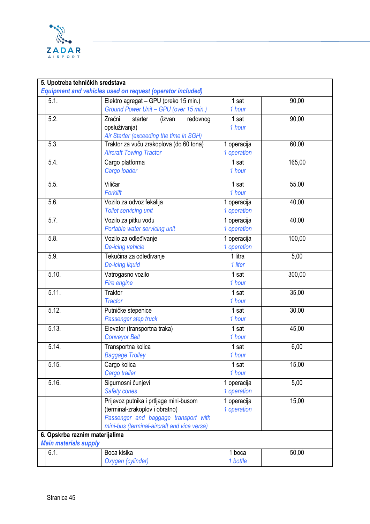

| 5.1.                         | <b>Equipment and vehicles used on request (operator included)</b><br>Elektro agregat - GPU (preko 15 min.)                                                      | 1 sat                           | 90,00  |
|------------------------------|-----------------------------------------------------------------------------------------------------------------------------------------------------------------|---------------------------------|--------|
|                              | Ground Power Unit - GPU (over 15 min.)                                                                                                                          | 1 hour                          |        |
| 5.2.                         | Zračni<br>redovnog<br>starter<br>(izvan<br>opsluživanja)<br>Air Starter (exceeding the time in SGH)                                                             | 1 sat<br>1 hour                 | 90,00  |
| 5.3.                         | Traktor za vuču zrakoplova (do 60 tona)<br><b>Aircraft Towing Tractor</b>                                                                                       | 1 operacija<br>1 operation      | 60,00  |
| 5.4.                         | Cargo platforma<br>Cargo loader                                                                                                                                 | 1 sat<br>1 hour                 | 165,00 |
| 5.5.                         | Viličar<br><b>Forklift</b>                                                                                                                                      | 1 sat<br>1 hour                 | 55,00  |
| 5.6.                         | Vozilo za odvoz fekalija<br><b>Toilet servicing unit</b>                                                                                                        | 1 operacija<br>1 operation      | 40,00  |
| 5.7.                         | Vozilo za pitku vodu<br>Portable water servicing unit                                                                                                           | 1 operacija<br>1 operation      | 40,00  |
| 5.8.                         | Vozilo za odleđivanje<br>De-icing vehicle                                                                                                                       | 1 operacija<br>1 operation      | 100,00 |
| 5.9.                         | Tekućina za odleđivanje<br>De-icing liquid                                                                                                                      | $\overline{1}$ litra<br>1 liter | 5,00   |
| 5.10.                        | Vatrogasno vozilo<br>Fire engine                                                                                                                                | 1 sat<br>1 hour                 | 300,00 |
| 5.11.                        | Traktor<br><b>Tractor</b>                                                                                                                                       | 1 sat<br>1 hour                 | 35,00  |
| 5.12.                        | Putničke stepenice<br>Passenger step truck                                                                                                                      | 1 sat<br>1 hour                 | 30,00  |
| 5.13.                        | Elevator (transportna traka)<br><b>Conveyor Belt</b>                                                                                                            | 1 sat<br>1 hour                 | 45,00  |
| 5.14.                        | Transportna kolica<br><b>Baggage Trolley</b>                                                                                                                    | 1 sat<br>1 hour                 | 6,00   |
| 5.15.                        | Cargo kolica<br>Cargo trailer                                                                                                                                   | 1 sat<br>1 hour                 | 15,00  |
| 5.16.                        | Sigurnosni čunjevi<br><b>Safety cones</b>                                                                                                                       | 1 operacija<br>1 operation      | 5,00   |
|                              | Prijevoz putnika i prtljage mini-busom<br>(terminal-zrakoplov i obratno)<br>Passenger and baggage transport with<br>mini-bus (terminal-aircraft and vice versa) | 1 operacija<br>1 operation      | 15,00  |
| <b>Main materials supply</b> | 6. Opskrba raznim materijalima                                                                                                                                  |                                 |        |
| 6.1.                         | Boca kisika<br>Oxygen (cylinder)                                                                                                                                | 1 boca<br>1 bottle              | 50,00  |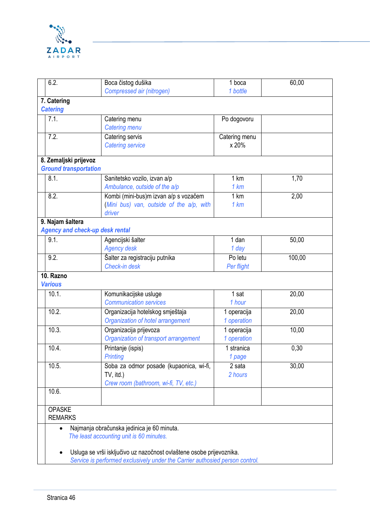

|                | 6.2.                                                                         | Boca čistog dušika                       | 1 boca        | 60,00  |  |
|----------------|------------------------------------------------------------------------------|------------------------------------------|---------------|--------|--|
|                |                                                                              | Compressed air (nitrogen)                | 1 bottle      |        |  |
|                | 7. Catering                                                                  |                                          |               |        |  |
|                | <b>Catering</b>                                                              |                                          |               |        |  |
|                | 7.1.                                                                         | Catering menu                            | Po dogovoru   |        |  |
|                |                                                                              | <b>Catering menu</b>                     |               |        |  |
|                | 7.2.                                                                         | Catering servis                          | Catering menu |        |  |
|                |                                                                              | <b>Catering service</b>                  | x 20%         |        |  |
|                |                                                                              |                                          |               |        |  |
|                | 8. Zemaljski prijevoz                                                        |                                          |               |        |  |
|                | <b>Ground transportation</b>                                                 |                                          |               |        |  |
|                | 8.1.                                                                         | Sanitetsko vozilo, izvan a/p             | 1 km          | 1,70   |  |
|                |                                                                              | Ambulance, outside of the a/p            | 1 km          |        |  |
|                | 8.2.                                                                         | Kombi (mini-bus)m izvan a/p s vozačem    | 1 km          | 2,00   |  |
|                |                                                                              | (Mini bus) van, outside of the a/p, with | 1 km          |        |  |
|                |                                                                              | driver                                   |               |        |  |
|                | 9. Najam šaltera                                                             |                                          |               |        |  |
|                | <b>Agency and check-up desk rental</b>                                       |                                          |               |        |  |
|                | 9.1.                                                                         | Agencijski šalter                        | 1 dan         | 50,00  |  |
|                |                                                                              | <b>Agency desk</b>                       | 1 day         |        |  |
|                | 9.2.                                                                         | Šalter za registraciju putnika           | Po letu       | 100,00 |  |
|                |                                                                              | Check-in desk                            | Per flight    |        |  |
|                | 10. Razno                                                                    |                                          |               |        |  |
|                | <b>Various</b>                                                               |                                          |               |        |  |
|                | 10.1.                                                                        | Komunikacijske usluge                    | 1 sat         | 20,00  |  |
|                |                                                                              | <b>Communication services</b>            | 1 hour        |        |  |
|                | 10.2.                                                                        | Organizacija hotelskog smještaja         | 1 operacija   | 20,00  |  |
|                |                                                                              | Organization of hotel arrangement        | 1 operation   |        |  |
|                | 10.3.                                                                        | Organizacija prijevoza                   | 1 operacija   | 10,00  |  |
|                |                                                                              | Organization of transport arrangement    | 1 operation   |        |  |
|                | 10.4.                                                                        | Printanje (ispis)                        | 1 stranica    | 0,30   |  |
|                |                                                                              | Printing                                 | 1 page        |        |  |
|                | 10.5.                                                                        | Soba za odmor posade (kupaonica, wi-fi,  | 2 sata        | 30,00  |  |
|                |                                                                              | TV, itd.)                                | 2 hours       |        |  |
|                |                                                                              | Crew room (bathroom, wi-fi, TV, etc.)    |               |        |  |
|                | 10.6.                                                                        |                                          |               |        |  |
|                |                                                                              |                                          |               |        |  |
| <b>OPASKE</b>  |                                                                              |                                          |               |        |  |
| <b>REMARKS</b> |                                                                              |                                          |               |        |  |
|                | Najmanja obračunska jedinica je 60 minuta.<br>$\bullet$                      |                                          |               |        |  |
|                | The least accounting unit is 60 minutes.                                     |                                          |               |        |  |
|                | Usluga se vrši isključivo uz nazočnost ovlaštene osobe prijevoznika.         |                                          |               |        |  |
|                | Service is performed exclusively under the Carrier authosied person control. |                                          |               |        |  |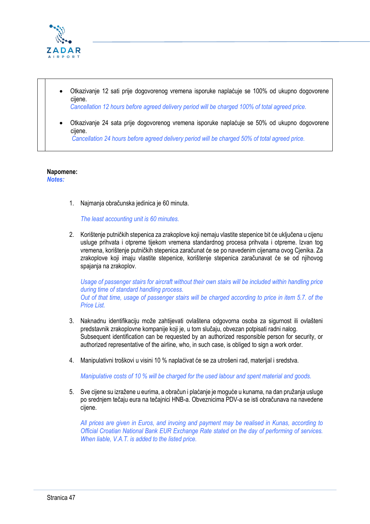

- Otkazivanje 12 sati prije dogovorenog vremena isporuke naplaćuje se 100% od ukupno dogovorene cijene.  *Cancellation 12 hours before agreed delivery period will be charged 100% of total agreed price.*
- Otkazivanje 24 sata prije dogovorenog vremena isporuke naplaćuje se 50% od ukupno dogovorene cijene.  *Cancellation 24 hours before agreed delivery period will be charged 50% of total agreed price.*

#### **Napomene:**

*Notes:*

1. Najmanja obračunska jedinica je 60 minuta.

*The least accounting unit is 60 minutes.*

2. Korištenje putničkih stepenica za zrakoplove koji nemaju vlastite stepenice bit će uključena u cijenu usluge prihvata i otpreme tijekom vremena standardnog procesa prihvata i otpreme. Izvan tog vremena, korištenje putničkih stepenica zaračunat će se po navedenim cijenama ovog Cjenika. Za zrakoplove koji imaju vlastite stepenice, korištenje stepenica zaračunavat će se od njihovog spajanja na zrakoplov.

*Usage of passenger stairs for aircraft without their own stairs will be included within handling price during time of standard handling process. Out of that time, usage of passenger stairs will be charged according to price in item 5.7. of the Price List.*

- 3. Naknadnu identifikaciju može zahtijevati ovlaštena odgovorna osoba za sigurnost ili ovlašteni predstavnik zrakoplovne kompanije koji je, u tom slučaju, obvezan potpisati radni nalog. Subsequent identification can be requested by an authorized responsible person for security, or authorized representative of the airline, who, in such case, is obliged to sign a work order.
- 4. Manipulativni troškovi u visini 10 % naplaćivat će se za utrošeni rad, materijal i sredstva.

*Manipulative costs of 10 % will be charged for the used labour and spent material and goods.*

5. Sve cijene su izražene u eurima, a obračun i plaćanje je moguće u kunama, na dan pružanja usluge po srednjem tečaju eura na tečajnici HNB-a. Obveznicima PDV-a se isti obračunava na navedene cijene.

*All prices are given in Euros, and invoing and payment may be realised in Kunas, according to Official Croatian National Bank EUR Exchange Rate stated on the day of performing of services. When liable, V.A.T. is added to the listed price.*